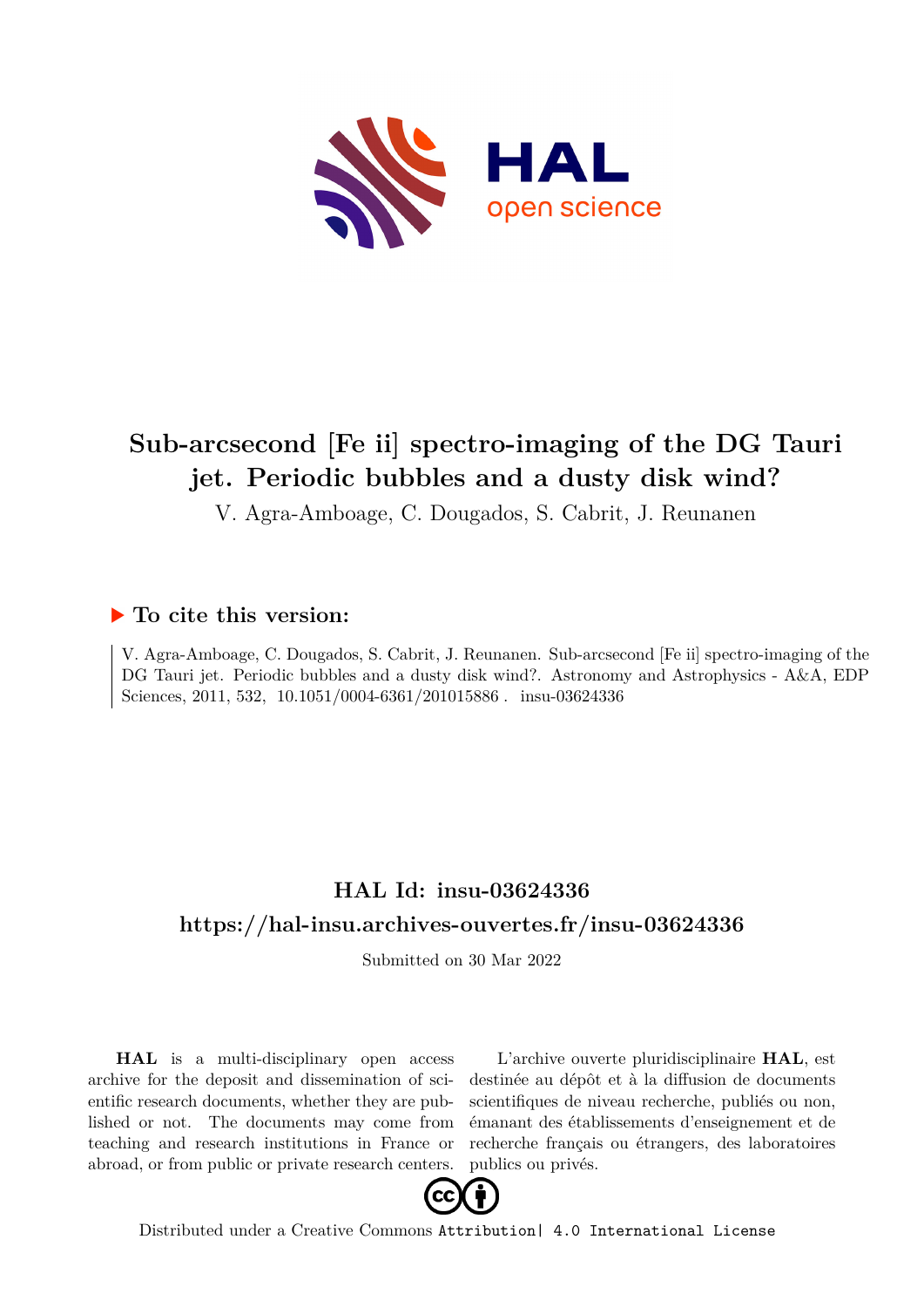

# **Sub-arcsecond [Fe ii] spectro-imaging of the DG Tauri jet. Periodic bubbles and a dusty disk wind?**

V. Agra-Amboage, C. Dougados, S. Cabrit, J. Reunanen

### **To cite this version:**

V. Agra-Amboage, C. Dougados, S. Cabrit, J. Reunanen. Sub-arcsecond [Fe ii] spectro-imaging of the DG Tauri jet. Periodic bubbles and a dusty disk wind?. Astronomy and Astrophysics - A&A, EDP Sciences, 2011, 532, 10.1051/0004-6361/201015886. insu-03624336

## **HAL Id: insu-03624336 <https://hal-insu.archives-ouvertes.fr/insu-03624336>**

Submitted on 30 Mar 2022

**HAL** is a multi-disciplinary open access archive for the deposit and dissemination of scientific research documents, whether they are published or not. The documents may come from teaching and research institutions in France or abroad, or from public or private research centers.

L'archive ouverte pluridisciplinaire **HAL**, est destinée au dépôt et à la diffusion de documents scientifiques de niveau recherche, publiés ou non, émanant des établissements d'enseignement et de recherche français ou étrangers, des laboratoires publics ou privés.



Distributed under a Creative Commons [Attribution| 4.0 International License](http://creativecommons.org/licenses/by/4.0/)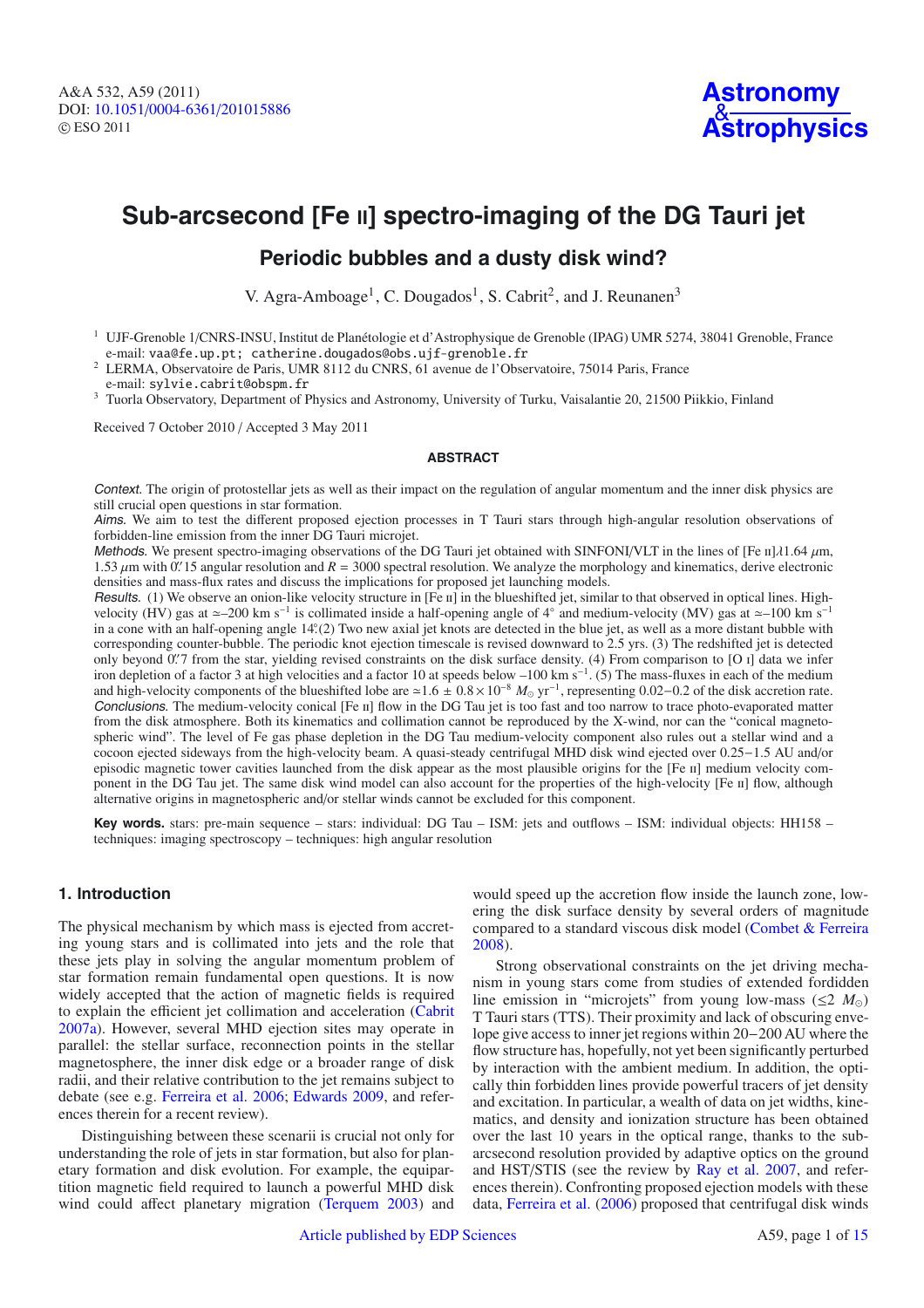### **Sub-arcsecond [Fe II] spectro-imaging of the DG Tauri jet**

### **Periodic bubbles and a dusty disk wind?**

V. Agra-Amboage<sup>1</sup>, C. Dougados<sup>1</sup>, S. Cabrit<sup>2</sup>, and J. Reunanen<sup>3</sup>

<sup>2</sup> LERMA, Observatoire de Paris, UMR 8112 du CNRS, 61 avenue de l'Observatoire, 75014 Paris, France

e-mail: sylvie.cabrit@obspm.fr <sup>3</sup> Tuorla Observatory, Department of Physics and Astronomy, University of Turku, Vaisalantie 20, 21500 Piikkio, Finland

Received 7 October 2010 / Accepted 3 May 2011

#### **ABSTRACT**

Context. The origin of protostellar jets as well as their impact on the regulation of angular momentum and the inner disk physics are still crucial open questions in star formation.

Aims. We aim to test the different proposed ejection processes in T Tauri stars through high-angular resolution observations of forbidden-line emission from the inner DG Tauri microjet.

Methods. We present spectro-imaging observations of the DG Tauri jet obtained with SINFONI/VLT in the lines of [Fe  $\text{II}/\text{11.64}$   $\mu$ m, 1.53  $\mu$ m with 0. 15 angular resolution and *R* = 3000 spectral resolution. We analyze the morphology and kinematics, derive electronic densities and mass-flux rates and discuss the implications for proposed jet launching models.

Results. (1) We observe an onion-like velocity structure in [Fe  $\pi$ ] in the blueshifted jet, similar to that observed in optical lines. Highvelocity (HV) gas at ~-200 km s<sup>-1</sup> is collimated inside a half-opening angle of 4° and medium-velocity (MV) gas at ~-100 km s<sup>-1</sup> in a cone with an half-opening angle 14°(2) Two new axial jet knots are detected in the blue jet, as well as a more distant bubble with corresponding counter-bubble. The periodic knot ejection timescale is revised downward to 2.5 yrs. (3) The redshifted jet is detected only beyond 0.77 from the star, yielding revised constraints on the disk surface density. (4) From comparison to [O I] data we infer iron depletion of a factor 3 at high velocities and a factor 10 at speeds below –100 km s<sup>−1</sup>. (5) The mass-fluxes in each of the medium and high-velocity components of the blueshifted lobe are ≃1.6 ± 0.8 × 10<sup>-8</sup>  $M_{\odot}$  yr<sup>-1</sup>, representing 0.02–0.2 of the disk accretion rate. Conclusions. The medium-velocity conical [Fe II] flow in the DG Tau jet is too fast and too narrow to trace photo-evaporated matter from the disk atmosphere. Both its kinematics and collimation cannot be reproduced by the X-wind, nor can the "conical magnetospheric wind". The level of Fe gas phase depletion in the DG Tau medium-velocity component also rules out a stellar wind and a cocoon ejected sideways from the high-velocity beam. A quasi-steady centrifugal MHD disk wind ejected over 0.25−1.5 AU and/or episodic magnetic tower cavities launched from the disk appear as the most plausible origins for the [Fe II] medium velocity component in the DG Tau jet. The same disk wind model can also account for the properties of the high-velocity [Fe II] flow, although alternative origins in magnetospheric and/or stellar winds cannot be excluded for this component.

**Key words.** stars: pre-main sequence – stars: individual: DG Tau – ISM: jets and outflows – ISM: individual objects: HH158 – techniques: imaging spectroscopy – techniques: high angular resolution

#### **1. Introduction**

The physical mechanism by which mass is ejected from accreting young stars and is collimated into jets and the role that these jets play in solving the angular momentum problem of star formation remain fundamental open questions. It is now widely accepted that the action of magnetic fields is required to explain the efficient jet collimation and acceleration (Cabrit 2007a). However, several MHD ejection sites may operate in parallel: the stellar surface, reconnection points in the stellar magnetosphere, the inner disk edge or a broader range of disk radii, and their relative contribution to the jet remains subject to debate (see e.g. Ferreira et al. 2006; Edwards 2009, and references therein for a recent review).

Distinguishing between these scenarii is crucial not only for understanding the role of jets in star formation, but also for planetary formation and disk evolution. For example, the equipartition magnetic field required to launch a powerful MHD disk wind could affect planetary migration (Terquem 2003) and would speed up the accretion flow inside the launch zone, lowering the disk surface density by several orders of magnitude compared to a standard viscous disk model (Combet & Ferreira 2008).

Strong observational constraints on the jet driving mechanism in young stars come from studies of extended fordidden line emission in "microjets" from young low-mass ( $\leq 2$  *M*<sub> $\odot$ </sub>) T Tauri stars (TTS). Their proximity and lack of obscuring envelope give access to inner jet regions within 20−200 AU where the flow structure has, hopefully, not yet been significantly perturbed by interaction with the ambient medium. In addition, the optically thin forbidden lines provide powerful tracers of jet density and excitation. In particular, a wealth of data on jet widths, kinematics, and density and ionization structure has been obtained over the last 10 years in the optical range, thanks to the subarcsecond resolution provided by adaptive optics on the ground and HST/STIS (see the review by Ray et al. 2007, and references therein). Confronting proposed ejection models with these data, Ferreira et al. (2006) proposed that centrifugal disk winds

<sup>&</sup>lt;sup>1</sup> UJF-Grenoble 1/CNRS-INSU, Institut de Planétologie et d'Astrophysique de Grenoble (IPAG) UMR 5274, 38041 Grenoble, France e-mail: vaa@fe.up.pt; catherine.dougados@obs.ujf-grenoble.fr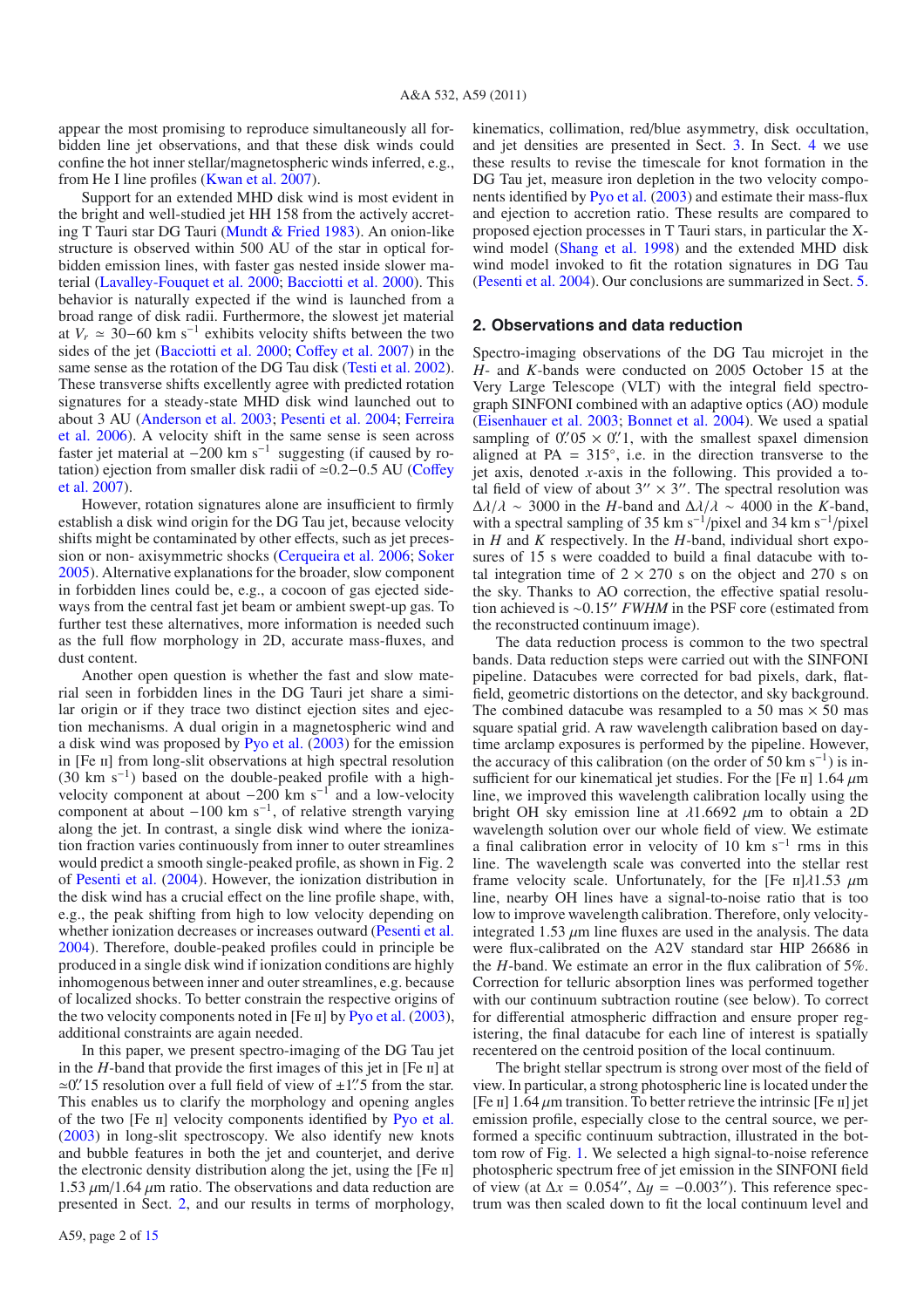appear the most promising to reproduce simultaneously all forbidden line jet observations, and that these disk winds could confine the hot inner stellar/magnetospheric winds inferred, e.g., from He I line profiles (Kwan et al. 2007).

Support for an extended MHD disk wind is most evident in the bright and well-studied jet HH 158 from the actively accreting T Tauri star DG Tauri (Mundt & Fried 1983). An onion-like structure is observed within 500 AU of the star in optical forbidden emission lines, with faster gas nested inside slower material (Lavalley-Fouquet et al. 2000; Bacciotti et al. 2000). This behavior is naturally expected if the wind is launched from a broad range of disk radii. Furthermore, the slowest jet material at  $V_r$   $\simeq$  30−60 km s<sup>-1</sup> exhibits velocity shifts between the two sides of the jet (Bacciotti et al. 2000; Coffey et al. 2007) in the same sense as the rotation of the DG Tau disk (Testi et al. 2002). These transverse shifts excellently agree with predicted rotation signatures for a steady-state MHD disk wind launched out to about 3 AU (Anderson et al. 2003; Pesenti et al. 2004; Ferreira et al. 2006). A velocity shift in the same sense is seen across faster jet material at  $-200$  km s<sup>-1</sup> suggesting (if caused by rotation) ejection from smaller disk radii of ≃0.2−0.5 AU (Coffey et al. 2007).

However, rotation signatures alone are insufficient to firmly establish a disk wind origin for the DG Tau jet, because velocity shifts might be contaminated by other effects, such as jet precession or non- axisymmetric shocks (Cerqueira et al. 2006; Soker 2005). Alternative explanations for the broader, slow component in forbidden lines could be, e.g., a cocoon of gas ejected sideways from the central fast jet beam or ambient swept-up gas. To further test these alternatives, more information is needed such as the full flow morphology in 2D, accurate mass-fluxes, and dust content.

Another open question is whether the fast and slow material seen in forbidden lines in the DG Tauri jet share a similar origin or if they trace two distinct ejection sites and ejection mechanisms. A dual origin in a magnetospheric wind and a disk wind was proposed by Pyo et al. (2003) for the emission in [Fe II] from long-slit observations at high spectral resolution (30 km s−1) based on the double-peaked profile with a highvelocity component at about  $-200$  km s<sup>-1</sup> and a low-velocity component at about  $-100 \text{ km s}^{-1}$ , of relative strength varying along the jet. In contrast, a single disk wind where the ionization fraction varies continuously from inner to outer streamlines would predict a smooth single-peaked profile, as shown in Fig. 2 of Pesenti et al. (2004). However, the ionization distribution in the disk wind has a crucial effect on the line profile shape, with, e.g., the peak shifting from high to low velocity depending on whether ionization decreases or increases outward (Pesenti et al. 2004). Therefore, double-peaked profiles could in principle be produced in a single disk wind if ionization conditions are highly inhomogenous between inner and outer streamlines, e.g. because of localized shocks. To better constrain the respective origins of the two velocity components noted in [Fe  $\text{II}$ ] by Pyo et al. (2003), additional constraints are again needed.

In this paper, we present spectro-imaging of the DG Tau jet in the  $H$ -band that provide the first images of this jet in [Fe  $\text{II}$ ] at  $\approx$ 0.'' 15 resolution over a full field of view of  $\pm$ 1.'' 5 from the star. This enables us to clarify the morphology and opening angles of the two [Fe ii] velocity components identified by Pyo et al. (2003) in long-slit spectroscopy. We also identify new knots and bubble features in both the jet and counterjet, and derive the electronic density distribution along the jet, using the  $[Fe \, \text{II}]$ 1.53  $\mu$ m/1.64  $\mu$ m ratio. The observations and data reduction are presented in Sect. 2, and our results in terms of morphology,

A59, page 2 of 15

kinematics, collimation, red/blue asymmetry, disk occultation, and jet densities are presented in Sect. 3. In Sect. 4 we use these results to revise the timescale for knot formation in the DG Tau jet, measure iron depletion in the two velocity components identified by Pyo et al. (2003) and estimate their mass-flux and ejection to accretion ratio. These results are compared to proposed ejection processes in T Tauri stars, in particular the Xwind model (Shang et al. 1998) and the extended MHD disk wind model invoked to fit the rotation signatures in DG Tau (Pesenti et al. 2004). Our conclusions are summarized in Sect. 5.

#### **2. Observations and data reduction**

Spectro-imaging observations of the DG Tau microjet in the *H*- and *K*-bands were conducted on 2005 October 15 at the Very Large Telescope (VLT) with the integral field spectrograph SINFONI combined with an adaptive optics (AO) module (Eisenhauer et al. 2003; Bonnet et al. 2004). We used a spatial sampling of  $0.05 \times 0.01$ , with the smallest spaxel dimension aligned at PA =  $315^\circ$ , i.e. in the direction transverse to the jet axis, denoted *x*-axis in the following. This provided a total field of view of about  $3'' \times 3''$ . The spectral resolution was  $\Delta\lambda/\lambda \sim 3000$  in the *H*-band and  $\Delta\lambda/\lambda \sim 4000$  in the *K*-band, with a spectral sampling of 35 km s<sup>-1</sup>/pixel and 34 km s<sup>-1</sup>/pixel in *H* and *K* respectively. In the *H*-band, individual short exposures of 15 s were coadded to build a final datacube with total integration time of  $2 \times 270$  s on the object and 270 s on the sky. Thanks to AO correction, the effective spatial resolution achieved is ~0.15" *FWHM* in the PSF core (estimated from the reconstructed continuum image).

The data reduction process is common to the two spectral bands. Data reduction steps were carried out with the SINFONI pipeline. Datacubes were corrected for bad pixels, dark, flatfield, geometric distortions on the detector, and sky background. The combined datacube was resampled to a 50 mas  $\times$  50 mas square spatial grid. A raw wavelength calibration based on daytime arclamp exposures is performed by the pipeline. However, the accuracy of this calibration (on the order of 50 km s<sup>-1</sup>) is insufficient for our kinematical jet studies. For the [Fe  $\text{II}$ ] 1.64  $\mu$ m line, we improved this wavelength calibration locally using the bright OH sky emission line at  $\lambda$ 1.6692  $\mu$ m to obtain a 2D wavelength solution over our whole field of view. We estimate a final calibration error in velocity of 10 km s−<sup>1</sup> rms in this line. The wavelength scale was converted into the stellar rest frame velocity scale. Unfortunately, for the [Fe  $\text{II}/\lambda1.53 \mu\text{m}$ line, nearby OH lines have a signal-to-noise ratio that is too low to improve wavelength calibration. Therefore, only velocityintegrated 1.53  $\mu$ m line fluxes are used in the analysis. The data were flux-calibrated on the A2V standard star HIP 26686 in the *H*-band. We estimate an error in the flux calibration of 5%. Correction for telluric absorption lines was performed together with our continuum subtraction routine (see below). To correct for differential atmospheric diffraction and ensure proper registering, the final datacube for each line of interest is spatially recentered on the centroid position of the local continuum.

The bright stellar spectrum is strong over most of the field of view. In particular, a strong photospheric line is located under the [Fe II] 1.64  $\mu$ m transition. To better retrieve the intrinsic [Fe II] jet emission profile, especially close to the central source, we performed a specific continuum subtraction, illustrated in the bottom row of Fig. 1. We selected a high signal-to-noise reference photospheric spectrum free of jet emission in the SINFONI field of view (at  $\Delta x = 0.054''$ ,  $\Delta y = -0.003''$ ). This reference spectrum was then scaled down to fit the local continuum level and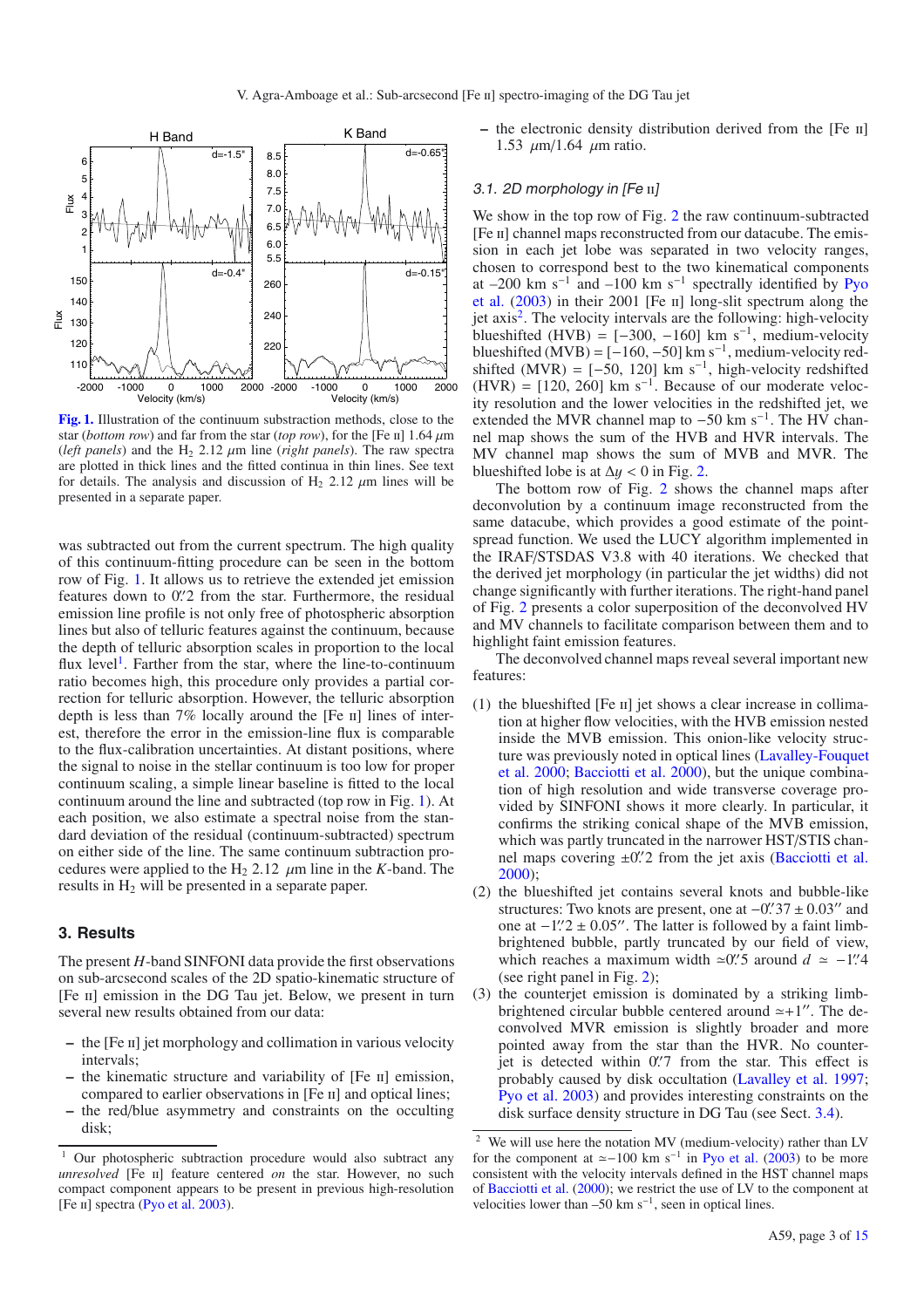

**[Fig. 1.](http://dexter.edpsciences.org/applet.php?DOI=10.1051/0004-6361/201015886&pdf_id=1)** Illustration of the continuum substraction methods, close to the star (*bottom row*) and far from the star (*top row*), for the [Fe II] 1.64  $\mu$ m (*left panels*) and the H<sub>2</sub> 2.12  $\mu$ m line (*right panels*). The raw spectra are plotted in thick lines and the fitted continua in thin lines. See text for details. The analysis and discussion of  $H_2$  2.12  $\mu$ m lines will be presented in a separate paper.

was subtracted out from the current spectrum. The high quality of this continuum-fitting procedure can be seen in the bottom row of Fig. 1. It allows us to retrieve the extended jet emission features down to 0.'2 from the star. Furthermore, the residual emission line profile is not only free of photospheric absorption lines but also of telluric features against the continuum, because the depth of telluric absorption scales in proportion to the local flux level<sup>1</sup>. Farther from the star, where the line-to-continuum ratio becomes high, this procedure only provides a partial correction for telluric absorption. However, the telluric absorption depth is less than  $7\%$  locally around the [Fe  $\text{II}$ ] lines of interest, therefore the error in the emission-line flux is comparable to the flux-calibration uncertainties. At distant positions, where the signal to noise in the stellar continuum is too low for proper continuum scaling, a simple linear baseline is fitted to the local continuum around the line and subtracted (top row in Fig. 1). At each position, we also estimate a spectral noise from the standard deviation of the residual (continuum-subtracted) spectrum on either side of the line. The same continuum subtraction procedures were applied to the  $H_2$  2.12  $\mu$ m line in the *K*-band. The results in H<sub>2</sub> will be presented in a separate paper.

#### **3. Results**

The present *H*-band SINFONI data provide the first observations on sub-arcsecond scales of the 2D spatio-kinematic structure of [Fe II] emission in the DG Tau jet. Below, we present in turn several new results obtained from our data:

- **–** the [Fe ii] jet morphology and collimation in various velocity intervals;
- **–** the kinematic structure and variability of [Fe ii] emission, compared to earlier observations in [Fe ii] and optical lines; **–** the red/blue asymmetry and constraints on the occulting
- disk;

**–** the electronic density distribution derived from the [Fe ii] 1.53  $\mu$ m/1.64  $\mu$ m ratio.

#### 3.1. 2D morphology in [Fe ii]

We show in the top row of Fig. 2 the raw continuum-subtracted [Fe ii] channel maps reconstructed from our datacube. The emission in each jet lobe was separated in two velocity ranges, chosen to correspond best to the two kinematical components at  $-200$  km s<sup>-1</sup> and  $-100$  km s<sup>-1</sup> spectrally identified by Pyo et al. (2003) in their 2001 [Fe ii] long-slit spectrum along the iet axis<sup>2</sup>. The velocity intervals are the following: high-velocity blueshifted (HVB) =  $[-300, -160]$  km s<sup>-1</sup>, medium-velocity blueshifted (MVB) =  $[-160, -50]$  km s<sup>-1</sup>, medium-velocity redshifted (MVR) =  $[-50, 120]$  km s<sup>-1</sup>, high-velocity redshifted (HVR) =  $[120, 260]$  km s<sup>-1</sup>. Because of our moderate velocity resolution and the lower velocities in the redshifted jet, we extended the MVR channel map to  $-50$  km s<sup>-1</sup>. The HV channel map shows the sum of the HVB and HVR intervals. The MV channel map shows the sum of MVB and MVR. The blueshifted lobe is at  $\Delta y < 0$  in Fig. 2.

The bottom row of Fig. 2 shows the channel maps after deconvolution by a continuum image reconstructed from the same datacube, which provides a good estimate of the pointspread function. We used the LUCY algorithm implemented in the IRAF/STSDAS V3.8 with 40 iterations. We checked that the derived jet morphology (in particular the jet widths) did not change significantly with further iterations. The right-hand panel of Fig. 2 presents a color superposition of the deconvolved HV and MV channels to facilitate comparison between them and to highlight faint emission features.

The deconvolved channel maps reveal several important new features:

- (1) the blueshifted  $[Fe \,\textsc{ii}]$  jet shows a clear increase in collimation at higher flow velocities, with the HVB emission nested inside the MVB emission. This onion-like velocity structure was previously noted in optical lines (Lavalley-Fouquet et al. 2000; Bacciotti et al. 2000), but the unique combination of high resolution and wide transverse coverage provided by SINFONI shows it more clearly. In particular, it confirms the striking conical shape of the MVB emission, which was partly truncated in the narrower HST/STIS channel maps covering  $\pm 0$ . 2 from the jet axis (Bacciotti et al. 2000);
- (2) the blueshifted jet contains several knots and bubble-like structures: Two knots are present, one at  $-0$ . 37 ± 0.03" and one at  $-1$ .  $2 \pm 0.05$ . The latter is followed by a faint limbbrightened bubble, partly truncated by our field of view, which reaches a maximum width  $\approx 0$ . 5 around  $d \approx -1$ . 4 (see right panel in Fig. 2);
- (3) the counterjet emission is dominated by a striking limbbrightened circular bubble centered around  $\simeq +1$ . The deconvolved MVR emission is slightly broader and more pointed away from the star than the HVR. No counterjet is detected within 0.'7 from the star. This effect is probably caused by disk occultation (Lavalley et al. 1997; Pyo et al. 2003) and provides interesting constraints on the disk surface density structure in DG Tau (see Sect. 3.4).

<sup>&</sup>lt;sup>1</sup> Our photospheric subtraction procedure would also subtract any *unresolved* [Fe II] feature centered *on* the star. However, no such compact component appears to be present in previous high-resolution [Fe II] spectra (Pyo et al. 2003).

<sup>2</sup> We will use here the notation MV (medium-velocity) rather than LV for the component at  $\simeq$ -100 km s<sup>-1</sup> in Pyo et al. (2003) to be more consistent with the velocity intervals defined in the HST channel maps of Bacciotti et al. (2000); we restrict the use of LV to the component at velocities lower than –50 km s<sup> $-1$ </sup>, seen in optical lines.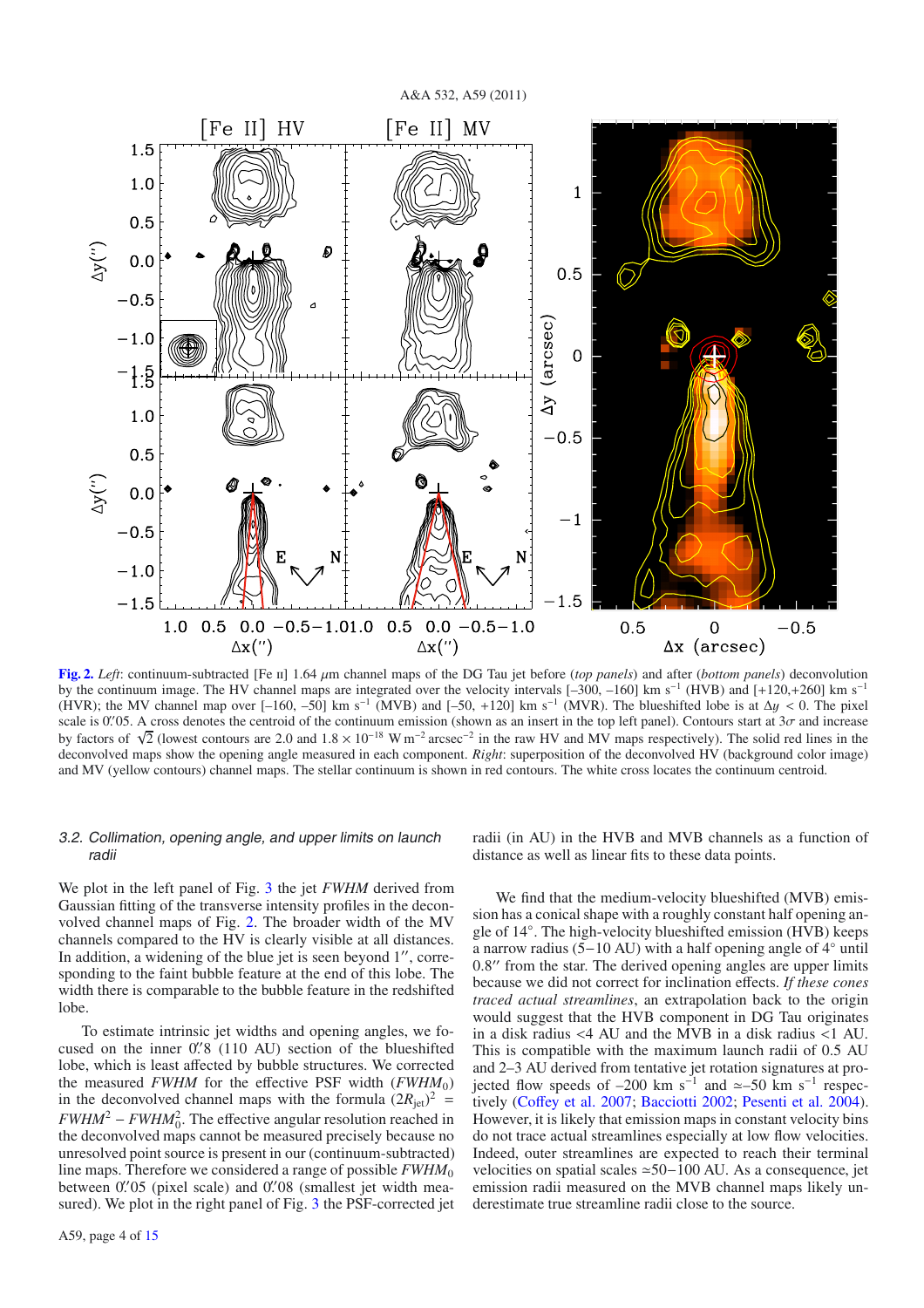

**[Fig. 2.](http://dexter.edpsciences.org/applet.php?DOI=10.1051/0004-6361/201015886&pdf_id=2)** *Left*: continuum-subtracted [Fe  $\pi$ ] 1.64  $\mu$ m channel maps of the DG Tau jet before (*top panels*) and after (*bottom panels*) deconvolution by the continuum image. The HV channel maps are integrated over the velocity intervals [–300, –160] km s−<sup>1</sup> (HVB) and [+120,+260] km s−<sup>1</sup> (HVR); the MV channel map over  $[-160, -50]$  km s<sup>-1</sup> (MVB) and  $[-50, +120]$  km s<sup>-1</sup> (MVR). The blueshifted lobe is at  $\Delta y < 0$ . The pixel scale is 0.  $0.95$ . A cross denotes the centroid of the continuum emission (shown as an insert in the top left panel). Contours start at  $3\sigma$  and increase by factors of  $\sqrt{2}$  (lowest contours are 2.0 and  $1.8 \times 10^{-18}$  W m<sup>-2</sup> arcsec<sup>-2</sup> in the raw HV and MV maps respectively). The solid red lines in the deconvolved maps show the opening angle measured in each component. *Right*: superposition of the deconvolved HV (background color image) and MV (yellow contours) channel maps. The stellar continuum is shown in red contours. The white cross locates the continuum centroid.

#### 3.2. Collimation, opening angle, and upper limits on launch radii

We plot in the left panel of Fig. 3 the jet *FWHM* derived from Gaussian fitting of the transverse intensity profiles in the deconvolved channel maps of Fig. 2. The broader width of the MV channels compared to the HV is clearly visible at all distances. In addition, a widening of the blue jet is seen beyond  $1''$ , corresponding to the faint bubble feature at the end of this lobe. The width there is comparable to the bubble feature in the redshifted lobe.

To estimate intrinsic jet widths and opening angles, we focused on the inner 0.'8 (110 AU) section of the blueshifted lobe, which is least affected by bubble structures. We corrected the measured *FWHM* for the effective PSF width  $(FWHM<sub>0</sub>)$ in the deconvolved channel maps with the formula  $(2R_{jet})^2$  =  $FWHM^2 - FWHM_0^2$ . The effective angular resolution reached in the deconvolved maps cannot be measured precisely because no unresolved point source is present in our (continuum-subtracted) line maps. Therefore we considered a range of possible *FWHM*<sup>0</sup> between 0. 05 (pixel scale) and 0. 08 (smallest jet width measured). We plot in the right panel of Fig. 3 the PSF-corrected jet radii (in AU) in the HVB and MVB channels as a function of distance as well as linear fits to these data points.

We find that the medium-velocity blueshifted (MVB) emission has a conical shape with a roughly constant half opening angle of 14◦. The high-velocity blueshifted emission (HVB) keeps a narrow radius (5−10 AU) with a half opening angle of 4◦ until 0.8" from the star. The derived opening angles are upper limits because we did not correct for inclination effects. *If these cones traced actual streamlines*, an extrapolation back to the origin would suggest that the HVB component in DG Tau originates in a disk radius <4 AU and the MVB in a disk radius <1 AU. This is compatible with the maximum launch radii of 0.5 AU and 2–3 AU derived from tentative jet rotation signatures at projected flow speeds of –200 km s<sup>-1</sup> and  $\simeq$ –50 km s<sup>-1</sup> respectively (Coffey et al. 2007; Bacciotti 2002; Pesenti et al. 2004). However, it is likely that emission maps in constant velocity bins do not trace actual streamlines especially at low flow velocities. Indeed, outer streamlines are expected to reach their terminal velocities on spatial scales ≃50−100 AU. As a consequence, jet emission radii measured on the MVB channel maps likely underestimate true streamline radii close to the source.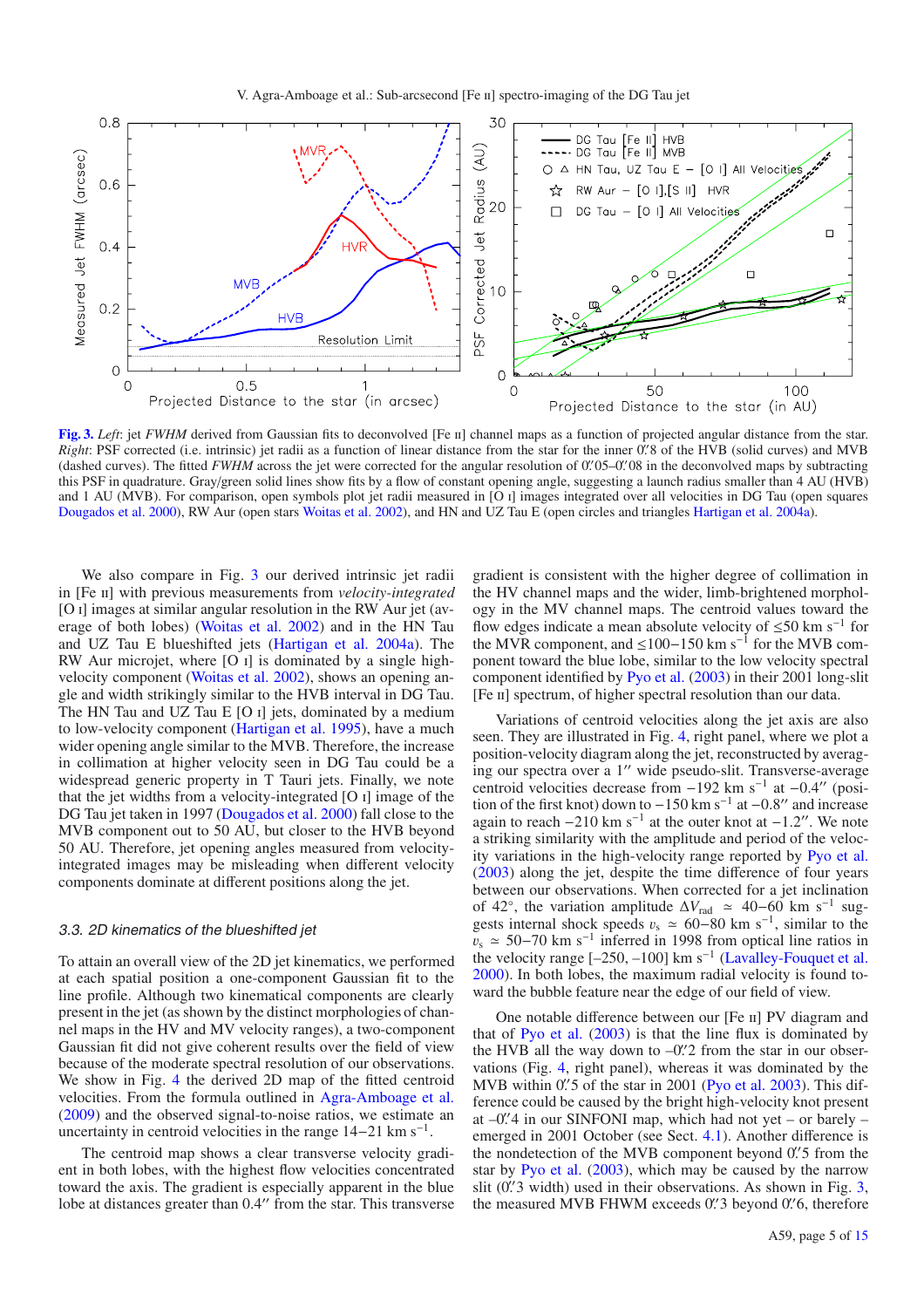

**[Fig. 3.](http://dexter.edpsciences.org/applet.php?DOI=10.1051/0004-6361/201015886&pdf_id=3)** *Left*: jet *FWHM* derived from Gaussian fits to deconvolved [Fe II] channel maps as a function of projected angular distance from the star. *Right*: PSF corrected (i.e. intrinsic) jet radii as a function of linear distance from the star for the inner 0. 8 of the HVB (solid curves) and MVB (dashed curves). The fitted FWHM across the jet were corrected for the angular resolution of 0. 05 -0. 08 in the deconvolved maps by subtracting this PSF in quadrature. Gray/green solid lines show fits by a flow of constant opening angle, suggesting a launch radius smaller than 4 AU (HVB) and 1 AU (MVB). For comparison, open symbols plot jet radii measured in [O i] images integrated over all velocities in DG Tau (open squares Dougados et al. 2000), RW Aur (open stars Woitas et al. 2002), and HN and UZ Tau E (open circles and triangles Hartigan et al. 2004a).

We also compare in Fig. 3 our derived intrinsic jet radii in [Fe ii] with previous measurements from *velocity-integrated* [O I] images at similar angular resolution in the RW Aur jet (average of both lobes) (Woitas et al. 2002) and in the HN Tau and UZ Tau E blueshifted jets (Hartigan et al. 2004a). The RW Aur microjet, where [O i] is dominated by a single highvelocity component (Woitas et al. 2002), shows an opening angle and width strikingly similar to the HVB interval in DG Tau. The HN Tau and UZ Tau E [O I] jets, dominated by a medium to low-velocity component (Hartigan et al. 1995), have a much wider opening angle similar to the MVB. Therefore, the increase in collimation at higher velocity seen in DG Tau could be a widespread generic property in T Tauri jets. Finally, we note that the jet widths from a velocity-integrated [O i] image of the DG Tau jet taken in 1997 (Dougados et al. 2000) fall close to the MVB component out to 50 AU, but closer to the HVB beyond 50 AU. Therefore, jet opening angles measured from velocityintegrated images may be misleading when different velocity components dominate at different positions along the jet.

#### 3.3. 2D kinematics of the blueshifted jet

To attain an overall view of the 2D jet kinematics, we performed at each spatial position a one-component Gaussian fit to the line profile. Although two kinematical components are clearly present in the jet (as shown by the distinct morphologies of channel maps in the HV and MV velocity ranges), a two-component Gaussian fit did not give coherent results over the field of view because of the moderate spectral resolution of our observations. We show in Fig. 4 the derived 2D map of the fitted centroid velocities. From the formula outlined in Agra-Amboage et al. (2009) and the observed signal-to-noise ratios, we estimate an uncertainty in centroid velocities in the range  $14-21$  km s<sup>-1</sup>.

The centroid map shows a clear transverse velocity gradient in both lobes, with the highest flow velocities concentrated toward the axis. The gradient is especially apparent in the blue lobe at distances greater than 0.4" from the star. This transverse gradient is consistent with the higher degree of collimation in the HV channel maps and the wider, limb-brightened morphology in the MV channel maps. The centroid values toward the flow edges indicate a mean absolute velocity of  $\leq 50$  km s<sup>-1</sup> for the MVR component, and ≤100−150 km s−<sup>1</sup> for the MVB component toward the blue lobe, similar to the low velocity spectral component identified by Pyo et al. (2003) in their 2001 long-slit [Fe ii] spectrum, of higher spectral resolution than our data.

Variations of centroid velocities along the jet axis are also seen. They are illustrated in Fig. 4, right panel, where we plot a position-velocity diagram along the jet, reconstructed by averaging our spectra over a 1" wide pseudo-slit. Transverse-average centroid velocities decrease from −192 km s<sup>-1</sup> at −0.4" (position of the first knot) down to  $-150$  km s<sup>-1</sup> at  $-0.8$ " and increase again to reach  $-210 \text{ km s}^{-1}$  at the outer knot at  $-1.2$ ". We note a striking similarity with the amplitude and period of the velocity variations in the high-velocity range reported by Pyo et al. (2003) along the jet, despite the time difference of four years between our observations. When corrected for a jet inclination of 42°, the variation amplitude  $\Delta V_{\text{rad}} \approx 40-60$  km s<sup>-1</sup> suggests internal shock speeds  $v_s \approx 60-80$  km s<sup>-1</sup>, similar to the  $v_s \approx 50-70$  km s<sup>-1</sup> inferred in 1998 from optical line ratios in the velocity range  $[-250, -100]$  km s<sup>-1</sup> (Lavalley-Fouquet et al. 2000). In both lobes, the maximum radial velocity is found toward the bubble feature near the edge of our field of view.

One notable difference between our [Fe ii] PV diagram and that of Pyo et al. (2003) is that the line flux is dominated by the HVB all the way down to  $-0$ . 2 from the star in our observations (Fig. 4, right panel), whereas it was dominated by the MVB within  $0.'5$  of the star in 2001 (Pyo et al. 2003). This difference could be caused by the bright high-velocity knot present at –0. 4 in our SINFONI map, which had not yet – or barely – emerged in 2001 October (see Sect. 4.1). Another difference is the nondetection of the MVB component beyond 0. 5 from the star by Pyo et al. (2003), which may be caused by the narrow slit  $(0\text{'}3 \text{ width})$  used in their observations. As shown in Fig. 3, the measured MVB FHWM exceeds 0. 3 beyond 0. 6, therefore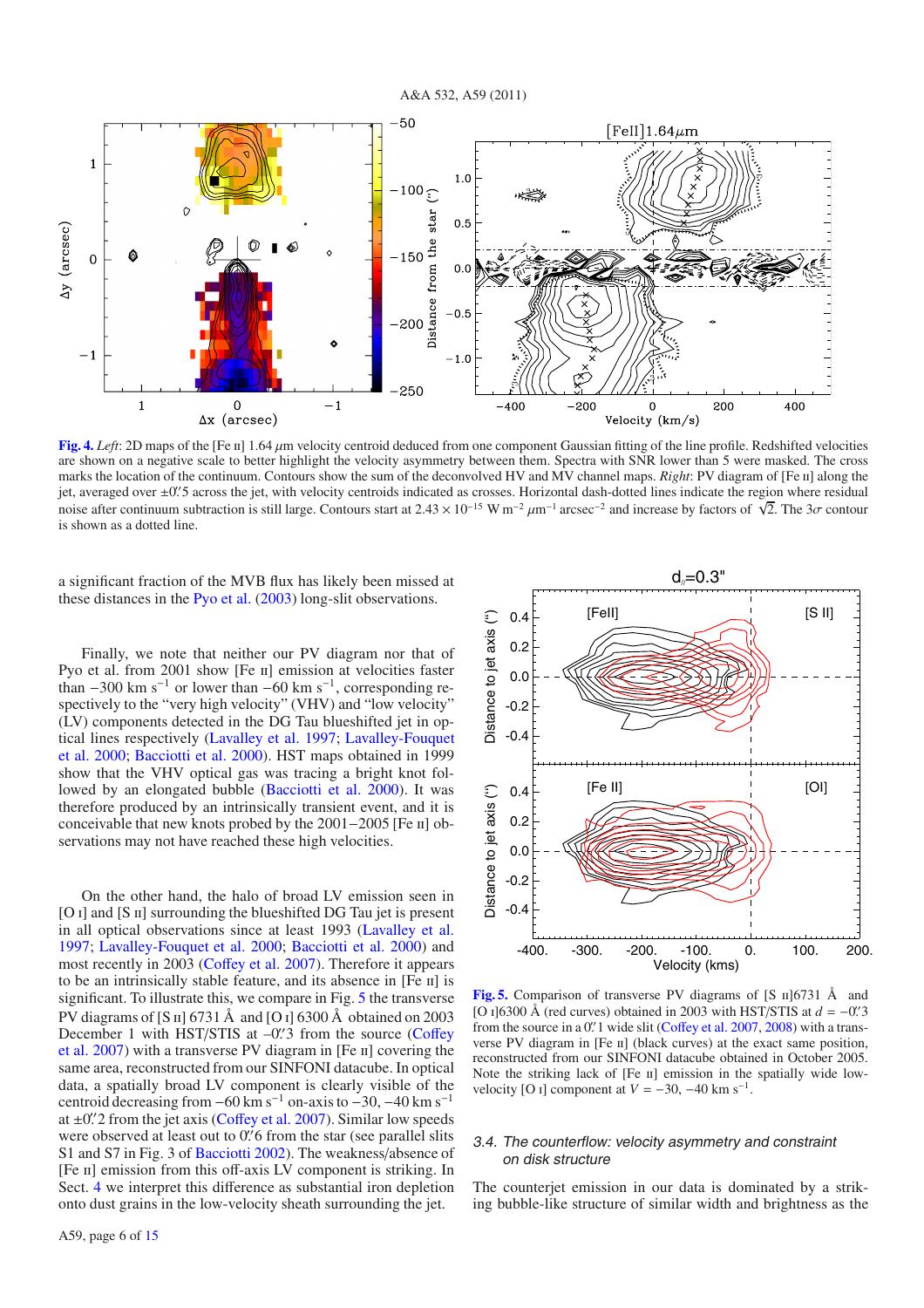

**[Fig. 4.](http://dexter.edpsciences.org/applet.php?DOI=10.1051/0004-6361/201015886&pdf_id=4)** *Left*: 2D maps of the [Fe ii] 1.64 μm velocity centroid deduced from one component Gaussian fitting of the line profile. Redshifted velocities are shown on a negative scale to better highlight the velocity asymmetry between them. Spectra with SNR lower than 5 were masked. The cross marks the location of the continuum. Contours show the sum of the deconvolved HV and MV channel maps. *Right*: PV diagram of [Fe II] along the jet, averaged over ±0. 5 across the jet, with velocity centroids indicated as crosses. Horizontal dash-dotted lines indicate the region where residual noise after continuum subtraction is still large. Contours start at  $2.43 \times 10^{-15}$  W m<sup>-2</sup>  $\mu$ m<sup>-1</sup> arcsec<sup>-2</sup> and increase by factors of  $\sqrt{2}$ . The 3*σ* contour is shown as a dotted line.

a significant fraction of the MVB flux has likely been missed at these distances in the Pyo et al. (2003) long-slit observations.

Finally, we note that neither our PV diagram nor that of Pyo et al. from 2001 show [Fe II] emission at velocities faster than  $-300$  km s<sup>-1</sup> or lower than  $-60$  km s<sup>-1</sup>, corresponding respectively to the "very high velocity" (VHV) and "low velocity" (LV) components detected in the DG Tau blueshifted jet in optical lines respectively (Lavalley et al. 1997; Lavalley-Fouquet et al. 2000; Bacciotti et al. 2000). HST maps obtained in 1999 show that the VHV optical gas was tracing a bright knot followed by an elongated bubble (Bacciotti et al. 2000). It was therefore produced by an intrinsically transient event, and it is conceivable that new knots probed by the 2001−2005 [Fe ii] observations may not have reached these high velocities.

On the other hand, the halo of broad LV emission seen in [O I] and [S II] surrounding the blueshifted DG Tau jet is present in all optical observations since at least 1993 (Lavalley et al. 1997; Lavalley-Fouquet et al. 2000; Bacciotti et al. 2000) and most recently in 2003 (Coffey et al. 2007). Therefore it appears to be an intrinsically stable feature, and its absence in [Fe II] is significant. To illustrate this, we compare in Fig. 5 the transverse PV diagrams of [S  $\text{II}$ ] 6731 Å and [O  $\text{I}$ ] 6300 Å obtained on 2003 December 1 with HST/STIS at  $-0$ . 3 from the source (Coffey et al. 2007) with a transverse PV diagram in [Fe ii] covering the same area, reconstructed from our SINFONI datacube. In optical data, a spatially broad LV component is clearly visible of the centroid decreasing from  $-60 \text{ km s}^{-1}$  on-axis to  $-30$ ,  $-40 \text{ km s}^{-1}$ at  $\pm 0$ . 2 from the jet axis (Coffey et al. 2007). Similar low speeds were observed at least out to 0. 6 from the star (see parallel slits S1 and S7 in Fig. 3 of Bacciotti 2002). The weakness/absence of [Fe II] emission from this off-axis LV component is striking. In Sect. 4 we interpret this difference as substantial iron depletion onto dust grains in the low-velocity sheath surrounding the jet.



**[Fig. 5.](http://dexter.edpsciences.org/applet.php?DOI=10.1051/0004-6361/201015886&pdf_id=5)** Comparison of transverse PV diagrams of [S  $\text{II}$ ] [6731 Å and [O i]6300 Å (red curves) obtained in 2003 with HST/STIS at *d* = −0. 3 from the source in a 0. 1 wide slit (Coffey et al. 2007, 2008) with a transverse PV diagram in [Fe II] (black curves) at the exact same position, reconstructed from our SINFONI datacube obtained in October 2005. Note the striking lack of [Fe II] emission in the spatially wide lowvelocity [O <sub>I</sub>] component at  $V = -30, -40$  km s<sup>-1</sup>.

#### 3.4. The counterflow: velocity asymmetry and constraint on disk structure

The counterjet emission in our data is dominated by a striking bubble-like structure of similar width and brightness as the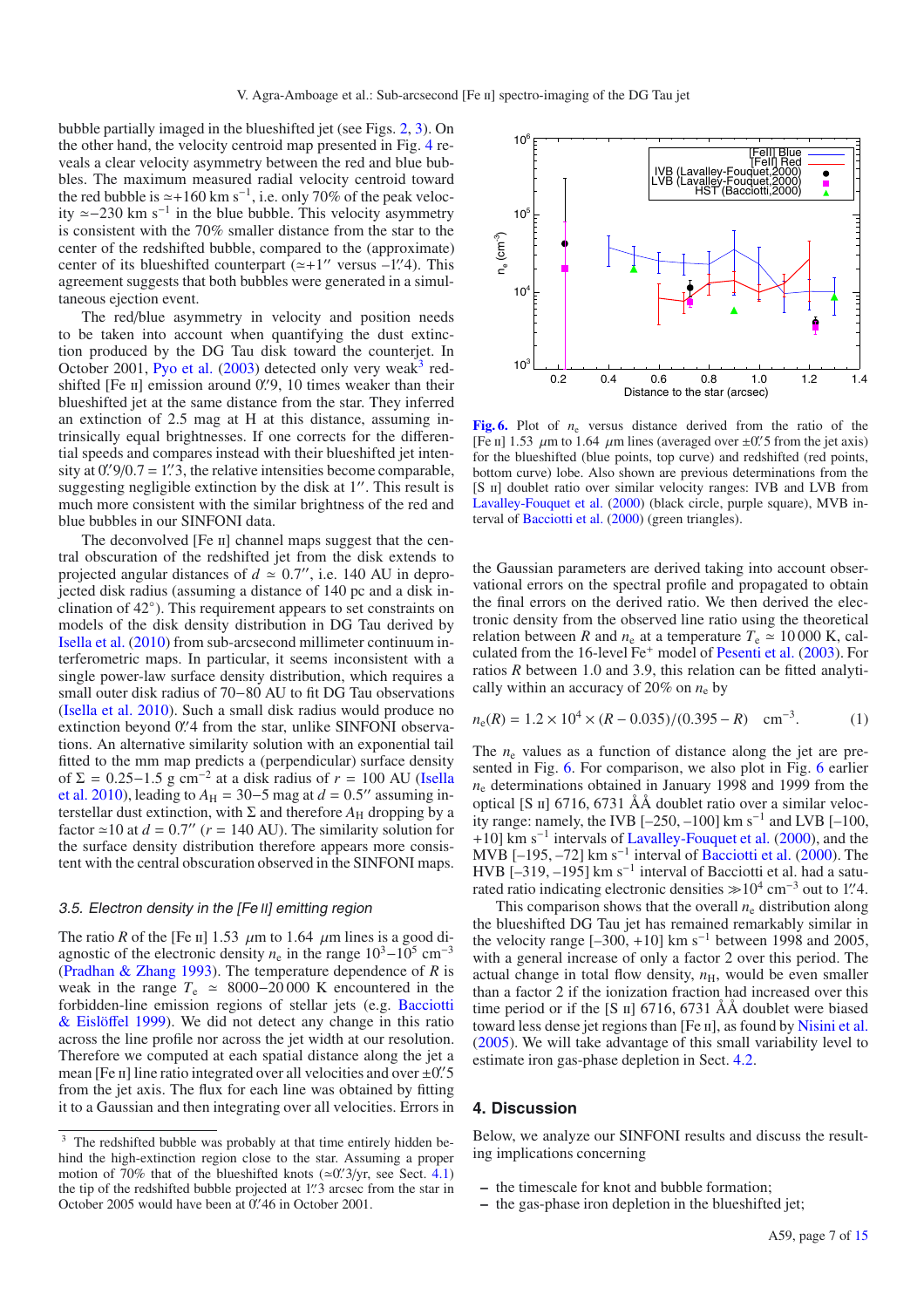bubble partially imaged in the blueshifted jet (see Figs. 2, 3). On the other hand, the velocity centroid map presented in Fig. 4 reveals a clear velocity asymmetry between the red and blue bubbles. The maximum measured radial velocity centroid toward the red bubble is  $\simeq +160$  km s<sup>-1</sup>, i.e. only 70% of the peak velocity  $\simeq$  −230 km s<sup>-1</sup> in the blue bubble. This velocity asymmetry is consistent with the 70% smaller distance from the star to the center of the redshifted bubble, compared to the (approximate) center of its blueshifted counterpart  $(\simeq +1)$  versus  $-1$ . This agreement suggests that both bubbles were generated in a simultaneous ejection event.

The red/blue asymmetry in velocity and position needs to be taken into account when quantifying the dust extinction produced by the DG Tau disk toward the counterjet. In October 2001, Pyo et al.  $(2003)$  detected only very weak<sup>3</sup> redshifted [Fe II] emission around 0. (9, 10 times weaker than their blueshifted jet at the same distance from the star. They inferred an extinction of 2.5 mag at H at this distance, assuming intrinsically equal brightnesses. If one corrects for the differential speeds and compares instead with their blueshifted jet intensity at  $0\frac{1}{9}$ /0.7 = 1'. 3, the relative intensities become comparable, suggesting negligible extinction by the disk at  $1''$ . This result is much more consistent with the similar brightness of the red and blue bubbles in our SINFONI data.

The deconvolved [Fe II] channel maps suggest that the central obscuration of the redshifted jet from the disk extends to projected angular distances of  $d \approx 0.7$ ", i.e. 140 AU in deprojected disk radius (assuming a distance of 140 pc and a disk inclination of 42◦). This requirement appears to set constraints on models of the disk density distribution in DG Tau derived by Isella et al. (2010) from sub-arcsecond millimeter continuum interferometric maps. In particular, it seems inconsistent with a single power-law surface density distribution, which requires a small outer disk radius of 70−80 AU to fit DG Tau observations (Isella et al. 2010). Such a small disk radius would produce no extinction beyond 0. 4 from the star, unlike SINFONI observations. An alternative similarity solution with an exponential tail fitted to the mm map predicts a (perpendicular) surface density of  $\Sigma = 0.25-1.5$  g cm<sup>-2</sup> at a disk radius of  $r = 100$  AU (Isella et al. 2010), leading to  $A_H = 30-5$  mag at  $d = 0.5$ " assuming interstellar dust extinction, with  $\Sigma$  and therefore  $A_H$  dropping by a factor  $\approx$  10 at *d* = 0.7" (*r* = 140 AU). The similarity solution for the surface density distribution therefore appears more consistent with the central obscuration observed in the SINFONI maps.

#### 3.5. Electron density in the [Fe II] emitting region

The ratio *R* of the [Fe ii] 1.53  $\mu$ m to 1.64  $\mu$ m lines is a good diagnostic of the electronic density  $n_e$  in the range  $10^3-10^5$  cm<sup>-3</sup> (Pradhan & Zhang 1993). The temperature dependence of *R* is weak in the range  $T_e \approx 8000-20000$  K encountered in the forbidden-line emission regions of stellar jets (e.g. Bacciotti & Eislöffel 1999). We did not detect any change in this ratio across the line profile nor across the jet width at our resolution. Therefore we computed at each spatial distance along the jet a mean [Fe  $\text{II}$ ] line ratio integrated over all velocities and over  $\pm 0.5$ from the jet axis. The flux for each line was obtained by fitting it to a Gaussian and then integrating over all velocities. Errors in



**[Fig. 6.](http://dexter.edpsciences.org/applet.php?DOI=10.1051/0004-6361/201015886&pdf_id=6)** Plot of *n*<sup>e</sup> versus distance derived from the ratio of the [Fe II] 1.53  $\mu$ m to 1.64  $\mu$ m lines (averaged over  $\pm 0$ . 5 from the jet axis) for the blueshifted (blue points, top curve) and redshifted (red points, bottom curve) lobe. Also shown are previous determinations from the [S II] doublet ratio over similar velocity ranges: IVB and LVB from Lavalley-Fouquet et al. (2000) (black circle, purple square), MVB interval of Bacciotti et al. (2000) (green triangles).

the Gaussian parameters are derived taking into account observational errors on the spectral profile and propagated to obtain the final errors on the derived ratio. We then derived the electronic density from the observed line ratio using the theoretical relation between *R* and  $n_e$  at a temperature  $T_e \approx 10000$  K, calculated from the 16-level Fe<sup>+</sup> model of Pesenti et al. (2003). For ratios *R* between 1.0 and 3.9, this relation can be fitted analytically within an accuracy of 20% on *n*<sup>e</sup> by

$$
n_e(R) = 1.2 \times 10^4 \times (R - 0.035)/(0.395 - R) \text{ cm}^{-3}.
$$
 (1)

The  $n_e$  values as a function of distance along the jet are presented in Fig. 6. For comparison, we also plot in Fig. 6 earlier *n*<sup>e</sup> determinations obtained in January 1998 and 1999 from the optical [S ii] 6716, 6731 ÅÅ doublet ratio over a similar velocity range: namely, the IVB  $[-250, -100]$  km s<sup>-1</sup> and LVB  $[-100,$ +10] km s<sup>-1</sup> intervals of Lavalley-Fouquet et al. (2000), and the MVB  $[-195, -72]$  km s<sup>-1</sup> interval of Bacciotti et al. (2000). The HVB [–319, –195] km s<sup>-1</sup> interval of Bacciotti et al. had a saturated ratio indicating electronic densities  $\gg 10^4$  cm<sup>-3</sup> out to 1. 4.

This comparison shows that the overall  $n_e$  distribution along the blueshifted DG Tau jet has remained remarkably similar in the velocity range  $[-300, +10]$  km s<sup>-1</sup> between 1998 and 2005, with a general increase of only a factor 2 over this period. The actual change in total flow density,  $n<sub>H</sub>$ , would be even smaller than a factor 2 if the ionization fraction had increased over this time period or if the [S  $\pi$ ] 6716, 6731 ÅÅ doublet were biased toward less dense jet regions than [Fe II], as found by Nisini et al. (2005). We will take advantage of this small variability level to estimate iron gas-phase depletion in Sect. 4.2.

#### **4. Discussion**

Below, we analyze our SINFONI results and discuss the resulting implications concerning

- **–** the timescale for knot and bubble formation;
- **–** the gas-phase iron depletion in the blueshifted jet;

<sup>&</sup>lt;sup>3</sup> The redshifted bubble was probably at that time entirely hidden behind the high-extinction region close to the star. Assuming a proper motion of 70% that of the blueshifted knots  $(\approx 0.^{\prime\prime}3/\text{yr})$ , see Sect. 4.1) the tip of the redshifted bubble projected at 1". 3 arcsec from the star in October 2005 would have been at 0. 46 in October 2001.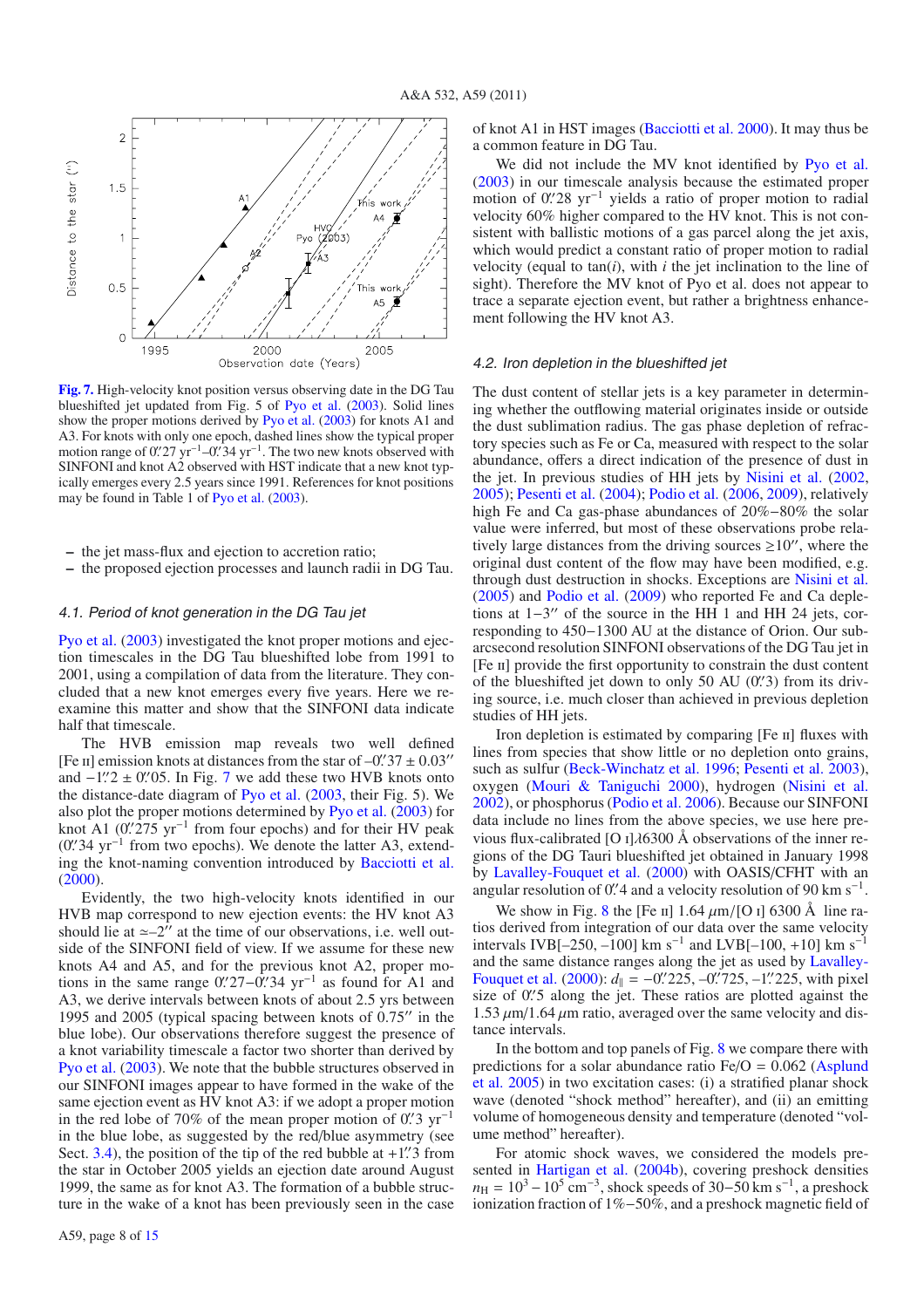

**[Fig. 7.](http://dexter.edpsciences.org/applet.php?DOI=10.1051/0004-6361/201015886&pdf_id=7)** High-velocity knot position versus observing date in the DG Tau blueshifted jet updated from Fig. 5 of Pyo et al. (2003). Solid lines show the proper motions derived by Pyo et al. (2003) for knots A1 and A3. For knots with only one epoch, dashed lines show the typical proper motion range of 0. 27 yr<sup>-1</sup>–0. 34 yr<sup>-1</sup>. The two new knots observed with SINFONI and knot A2 observed with HST indicate that a new knot typically emerges every 2.5 years since 1991. References for knot positions may be found in Table 1 of Pyo et al. (2003).

**–** the jet mass-flux and ejection to accretion ratio;

**–** the proposed ejection processes and launch radii in DG Tau.

#### 4.1. Period of knot generation in the DG Tau jet

Pyo et al. (2003) investigated the knot proper motions and ejection timescales in the DG Tau blueshifted lobe from 1991 to 2001, using a compilation of data from the literature. They concluded that a new knot emerges every five years. Here we reexamine this matter and show that the SINFONI data indicate half that timescale.

The HVB emission map reveals two well defined [Fe II] emission knots at distances from the star of  $-0.^{\prime\prime}37 \pm 0.03^{\prime\prime}$ and  $-1$ .<sup>"</sup> $2 \pm 0$ ." 05. In Fig. 7 we add these two HVB knots onto the distance-date diagram of Pyo et al. (2003, their Fig. 5). We also plot the proper motions determined by Pyo et al. (2003) for knot A1 (0' $275 \text{ yr}^{-1}$  from four epochs) and for their HV peak (0" 34 yr<sup>-1</sup> from two epochs). We denote the latter A3, extending the knot-naming convention introduced by Bacciotti et al. (2000).

Evidently, the two high-velocity knots identified in our HVB map correspond to new ejection events: the HV knot A3 should lie at  $\approx -2^{r}$  at the time of our observations, i.e. well outside of the SINFONI field of view. If we assume for these new knots A4 and A5, and for the previous knot A2, proper motions in the same range  $0$ . 27– $0$ . 34 yr<sup>-1</sup> as found for A1 and A3, we derive intervals between knots of about 2.5 yrs between 1995 and 2005 (typical spacing between knots of  $0.75$ " in the blue lobe). Our observations therefore suggest the presence of a knot variability timescale a factor two shorter than derived by Pyo et al. (2003). We note that the bubble structures observed in our SINFONI images appear to have formed in the wake of the same ejection event as HV knot A3: if we adopt a proper motion in the red lobe of 70% of the mean proper motion of  $0$ . 3 yr<sup>-1</sup> in the blue lobe, as suggested by the red/blue asymmetry (see Sect.  $3.4$ ), the position of the tip of the red bubble at  $+1$ . 3 from the star in October 2005 yields an ejection date around August 1999, the same as for knot A3. The formation of a bubble structure in the wake of a knot has been previously seen in the case of knot A1 in HST images (Bacciotti et al. 2000). It may thus be a common feature in DG Tau.

We did not include the MV knot identified by Pyo et al. (2003) in our timescale analysis because the estimated proper motion of 0.'28 yr<sup>-1</sup> yields a ratio of proper motion to radial velocity 60% higher compared to the HV knot. This is not consistent with ballistic motions of a gas parcel along the jet axis, which would predict a constant ratio of proper motion to radial velocity (equal to  $tan(i)$ , with *i* the jet inclination to the line of sight). Therefore the MV knot of Pyo et al. does not appear to trace a separate ejection event, but rather a brightness enhancement following the HV knot A3.

#### 4.2. Iron depletion in the blueshifted jet

The dust content of stellar jets is a key parameter in determining whether the outflowing material originates inside or outside the dust sublimation radius. The gas phase depletion of refractory species such as Fe or Ca, measured with respect to the solar abundance, offers a direct indication of the presence of dust in the jet. In previous studies of HH jets by Nisini et al. (2002, 2005); Pesenti et al. (2004); Podio et al. (2006, 2009), relatively high Fe and Ca gas-phase abundances of 20%−80% the solar value were inferred, but most of these observations probe relatively large distances from the driving sources  $\geq 10''$ , where the original dust content of the flow may have been modified, e.g. through dust destruction in shocks. Exceptions are Nisini et al. (2005) and Podio et al. (2009) who reported Fe and Ca depletions at  $1-3$ " of the source in the HH 1 and HH 24 jets, corresponding to 450−1300 AU at the distance of Orion. Our subarcsecond resolution SINFONI observations of the DG Tau jet in [Fe ii] provide the first opportunity to constrain the dust content of the blueshifted jet down to only 50 AU (0.'3) from its driving source, i.e. much closer than achieved in previous depletion studies of HH jets.

Iron depletion is estimated by comparing [Fe II] fluxes with lines from species that show little or no depletion onto grains, such as sulfur (Beck-Winchatz et al. 1996; Pesenti et al. 2003), oxygen (Mouri & Taniguchi 2000), hydrogen (Nisini et al. 2002), or phosphorus (Podio et al. 2006). Because our SINFONI data include no lines from the above species, we use here previous flux-calibrated [O  $I$ ] $\lambda$ 6300 Å observations of the inner regions of the DG Tauri blueshifted jet obtained in January 1998 by Lavalley-Fouquet et al. (2000) with OASIS/CFHT with an angular resolution of 0. 4 and a velocity resolution of 90 km s<sup>-1</sup>.

We show in Fig. 8 the [Fe II]  $1.64 \mu$ m/[O I] 6300 Å line ratios derived from integration of our data over the same velocity intervals IVB[–250, –100] km s<sup>-1</sup> and LVB[–100, +10] km s<sup>-1</sup> and the same distance ranges along the jet as used by Lavalley-Fouquet et al.  $(2000)$ :  $d_{\parallel} = -0$ . 225, -0. 725, -1. 225, with pixel size of 0.'5 along the jet. These ratios are plotted against the  $1.53 \mu m/1.64 \mu m$  ratio, averaged over the same velocity and distance intervals.

In the bottom and top panels of Fig. 8 we compare there with predictions for a solar abundance ratio  $Fe/O = 0.062$  (Asplund et al. 2005) in two excitation cases: (i) a stratified planar shock wave (denoted "shock method" hereafter), and (ii) an emitting volume of homogeneous density and temperature (denoted "volume method" hereafter).

For atomic shock waves, we considered the models presented in Hartigan et al. (2004b), covering preshock densities  $n_{\rm H} = 10^3 - 10^5$  cm<sup>-3</sup>, shock speeds of 30–50 km s<sup>-1</sup>, a preshock ionization fraction of 1%−50%, and a preshock magnetic field of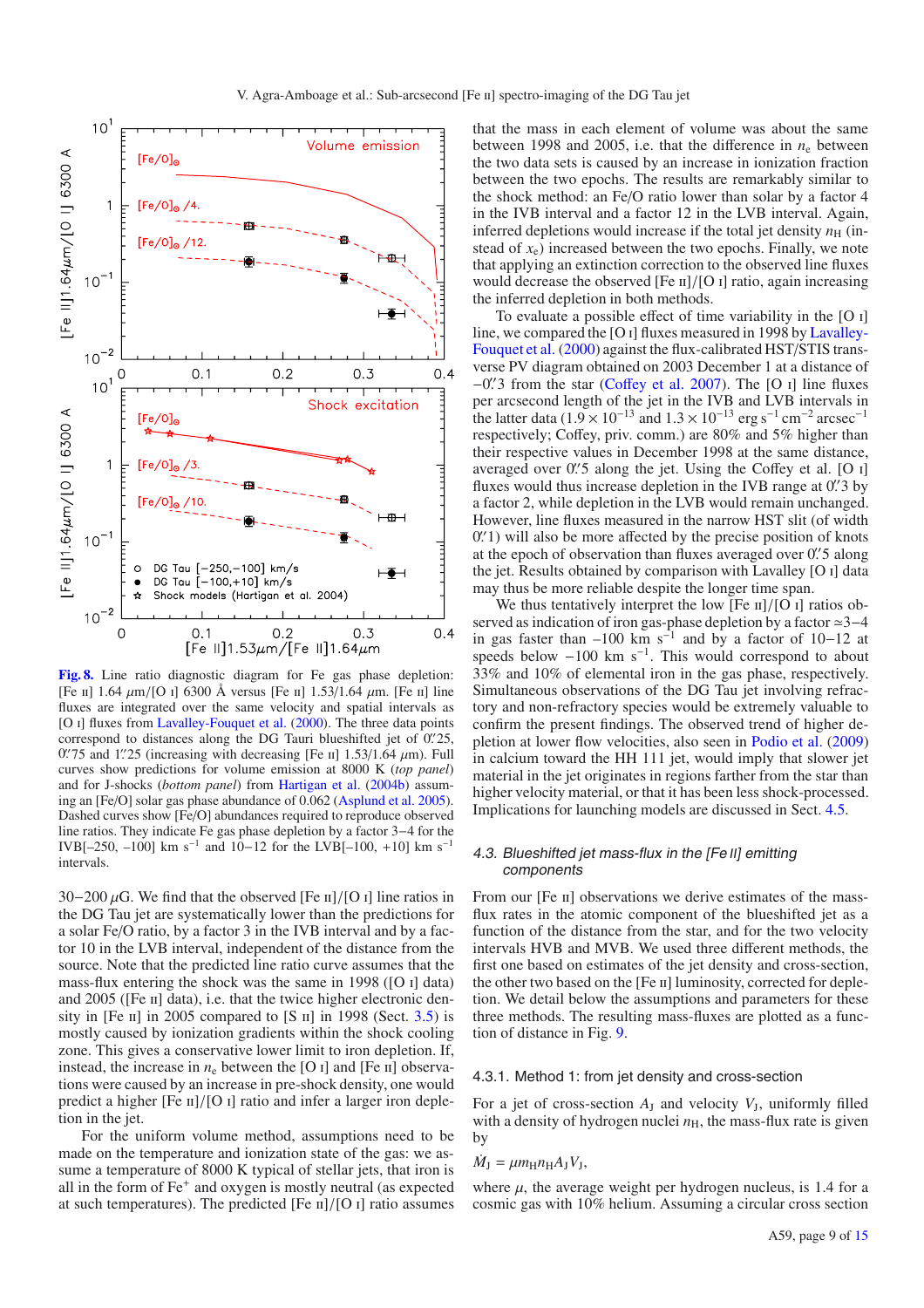

**[Fig. 8.](http://dexter.edpsciences.org/applet.php?DOI=10.1051/0004-6361/201015886&pdf_id=8)** Line ratio diagnostic diagram for Fe gas phase depletion: [Fe II] 1.64  $\mu$ m/[O I] 6300 Å versus [Fe II] 1.53/1.64  $\mu$ m. [Fe II] line fluxes are integrated over the same velocity and spatial intervals as [O I] fluxes from Lavalley-Fouquet et al. (2000). The three data points correspond to distances along the DG Tauri blueshifted jet of 0. 25,  $0\rlap{.}^{\prime\prime}75$  and 1.  $25$  (increasing with decreasing [Fe II] 1.53/1.64  $\mu$ m). Full curves show predictions for volume emission at 8000 K (*top panel*) and for J-shocks (*bottom panel*) from Hartigan et al. (2004b) assuming an [Fe/O] solar gas phase abundance of 0.062 (Asplund et al. 2005). Dashed curves show [Fe/O] abundances required to reproduce observed line ratios. They indicate Fe gas phase depletion by a factor 3−4 for the IVB[–250, –100] km s<sup>-1</sup> and 10−12 for the LVB[–100, +10] km s<sup>-1</sup> intervals.

30−200  $\mu$ G. We find that the observed [Fe  $\pi$ ]/[O  $\pi$ ] line ratios in the DG Tau jet are systematically lower than the predictions for a solar Fe/O ratio, by a factor 3 in the IVB interval and by a factor 10 in the LVB interval, independent of the distance from the source. Note that the predicted line ratio curve assumes that the mass-flux entering the shock was the same in 1998 ([O i] data) and  $2005$  ([Fe  $\text{II}$ ] data), i.e. that the twice higher electronic density in [Fe  $\pi$ ] in 2005 compared to [S  $\pi$ ] in 1998 (Sect. 3.5) is mostly caused by ionization gradients within the shock cooling zone. This gives a conservative lower limit to iron depletion. If, instead, the increase in  $n_e$  between the [O i] and [Fe ii] observations were caused by an increase in pre-shock density, one would predict a higher  $[Fe \Pi]/[O \Pi]$  ratio and infer a larger iron depletion in the jet.

For the uniform volume method, assumptions need to be made on the temperature and ionization state of the gas: we assume a temperature of 8000 K typical of stellar jets, that iron is all in the form of Fe<sup>+</sup> and oxygen is mostly neutral (as expected at such temperatures). The predicted [Fe  $\pi$ ]/[O  $\pi$ ] ratio assumes that the mass in each element of volume was about the same between 1998 and 2005, i.e. that the difference in  $n_e$  between the two data sets is caused by an increase in ionization fraction between the two epochs. The results are remarkably similar to the shock method: an Fe/O ratio lower than solar by a factor 4 in the IVB interval and a factor 12 in the LVB interval. Again, inferred depletions would increase if the total jet density  $n<sub>H</sub>$  (instead of  $x_e$ ) increased between the two epochs. Finally, we note that applying an extinction correction to the observed line fluxes would decrease the observed [Fe  $\pi$ ]/[O  $\pi$ ] ratio, again increasing the inferred depletion in both methods.

To evaluate a possible effect of time variability in the [O i] line, we compared the [O i] fluxes measured in 1998 by Lavalley-Fouquet et al. (2000) against the flux-calibrated HST/STIS transverse PV diagram obtained on 2003 December 1 at a distance of −0. 3 from the star (Coffey et al. 2007). The [O i] line fluxes per arcsecond length of the jet in the IVB and LVB intervals in the latter data (1.9 × 10<sup>-13</sup> and 1.3 × 10<sup>-13</sup> erg s<sup>-1</sup> cm<sup>-2</sup> arcsec<sup>-1</sup> respectively; Coffey, priv. comm.) are 80% and 5% higher than their respective values in December 1998 at the same distance, averaged over 0". 5 along the jet. Using the Coffey et al. [O I] fluxes would thus increase depletion in the IVB range at 0.  $\frac{3}{5}$  by a factor 2, while depletion in the LVB would remain unchanged. However, line fluxes measured in the narrow HST slit (of width 0.<sup>'</sup> 1) will also be more affected by the precise position of knots at the epoch of observation than fluxes averaged over 0". 5 along the jet. Results obtained by comparison with Lavalley [O i] data may thus be more reliable despite the longer time span.

We thus tentatively interpret the low  $[Fe \text{ II}]/[O \text{ I}]$  ratios observed as indication of iron gas-phase depletion by a factor ≃3–4 in gas faster than –100 km s<sup>-1</sup> and by a factor of 10–12 at speeds below  $-100 \text{ km s}^{-1}$ . This would correspond to about 33% and 10% of elemental iron in the gas phase, respectively. Simultaneous observations of the DG Tau jet involving refractory and non-refractory species would be extremely valuable to confirm the present findings. The observed trend of higher depletion at lower flow velocities, also seen in Podio et al. (2009) in calcium toward the HH 111 jet, would imply that slower jet material in the jet originates in regions farther from the star than higher velocity material, or that it has been less shock-processed. Implications for launching models are discussed in Sect. 4.5.

#### 4.3. Blueshifted jet mass-flux in the [Fe II] emitting components

From our [Fe II] observations we derive estimates of the massflux rates in the atomic component of the blueshifted jet as a function of the distance from the star, and for the two velocity intervals HVB and MVB. We used three different methods, the first one based on estimates of the jet density and cross-section, the other two based on the [Fe ii] luminosity, corrected for depletion. We detail below the assumptions and parameters for these three methods. The resulting mass-fluxes are plotted as a function of distance in Fig. 9.

#### 4.3.1. Method 1: from jet density and cross-section

For a jet of cross-section  $A_J$  and velocity  $V_J$ , uniformly filled with a density of hydrogen nuclei  $n<sub>H</sub>$ , the mass-flux rate is given by

#### $\dot{M}_{\rm J} = \mu m_{\rm H} n_{\rm H} A_{\rm J} V_{\rm J}$

where  $\mu$ , the average weight per hydrogen nucleus, is 1.4 for a cosmic gas with 10% helium. Assuming a circular cross section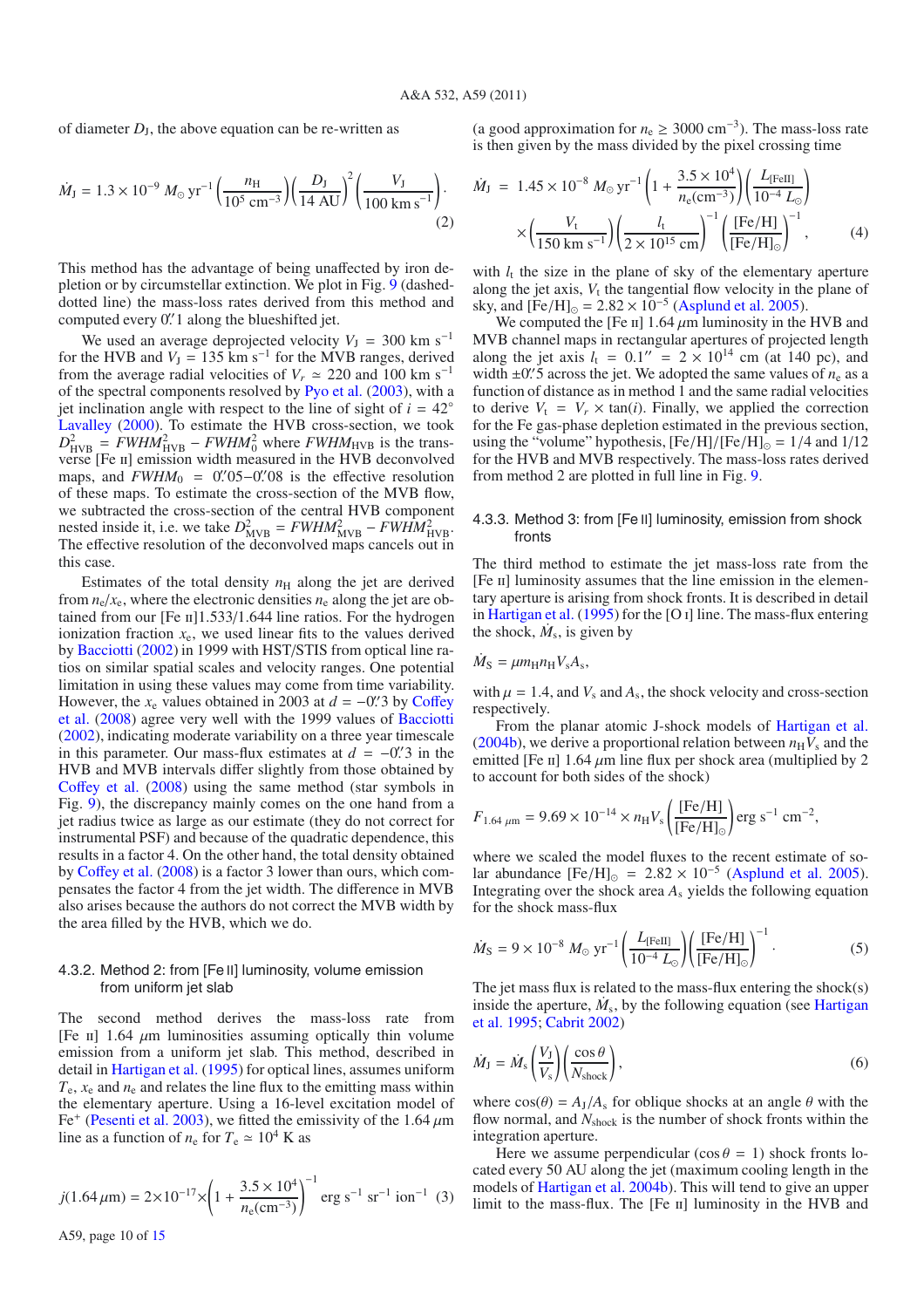of diameter  $D<sub>J</sub>$ , the above equation can be re-written as

$$
\dot{M}_{\rm J} = 1.3 \times 10^{-9} \, M_{\odot} \, \text{yr}^{-1} \left( \frac{n_{\rm H}}{10^5 \, \text{cm}^{-3}} \right) \left( \frac{D_{\rm J}}{14 \, \text{AU}} \right)^2 \left( \frac{V_{\rm J}}{100 \, \text{km s}^{-1}} \right). \tag{2}
$$

This method has the advantage of being unaffected by iron depletion or by circumstellar extinction. We plot in Fig. 9 (dasheddotted line) the mass-loss rates derived from this method and computed every 0.'1 along the blueshifted jet.

We used an average deprojected velocity  $V_J = 300 \text{ km s}^{-1}$ for the HVB and  $V_J = 135$  km s<sup>-1</sup> for the MVB ranges, derived from the average radial velocities of  $V_r \approx 220$  and 100 km s<sup>-1</sup> of the spectral components resolved by Pyo et al. (2003), with a jet inclination angle with respect to the line of sight of  $i = 42°$ Lavalley (2000). To estimate the HVB cross-section, we took  $D_{\text{HVB}}^2 = FWHM_{\text{HVB}}^2 - FWHM_0^2$  where  $FWHM_{\text{HVB}}$  is the transverse [Fe ii] emission width measured in the HVB deconvolved maps, and  $FWHM_0 = 0.^{\prime\prime}05-0.^{\prime\prime}08$  is the effective resolution of these maps. To estimate the cross-section of the MVB flow, we subtracted the cross-section of the central HVB component nested inside it, i.e. we take  $D_{\text{MVB}}^2 = FWHM_{\text{MVB}}^2 - FWHM_{\text{HVB}}^2$ . The effective resolution of the deconvolved maps cancels out in this case.

Estimates of the total density  $n<sub>H</sub>$  along the jet are derived from  $n_e/x_e$ , where the electronic densities  $n_e$  along the jet are obtained from our  $[Fe \text{ II} 1.533/1.644$  line ratios. For the hydrogen ionization fraction  $x_e$ , we used linear fits to the values derived by Bacciotti (2002) in 1999 with HST/STIS from optical line ratios on similar spatial scales and velocity ranges. One potential limitation in using these values may come from time variability. However, the  $x_e$  values obtained in 2003 at  $d = -0$ . 3 by Coffey et al. (2008) agree very well with the 1999 values of Bacciotti (2002), indicating moderate variability on a three year timescale in this parameter. Our mass-flux estimates at  $d = -0$ . 3 in the HVB and MVB intervals differ slightly from those obtained by Coffey et al. (2008) using the same method (star symbols in Fig. 9), the discrepancy mainly comes on the one hand from a jet radius twice as large as our estimate (they do not correct for instrumental PSF) and because of the quadratic dependence, this results in a factor 4. On the other hand, the total density obtained by Coffey et al. (2008) is a factor 3 lower than ours, which compensates the factor 4 from the jet width. The difference in MVB also arises because the authors do not correct the MVB width by the area filled by the HVB, which we do.

#### 4.3.2. Method 2: from [Fe II] luminosity, volume emission from uniform jet slab

The second method derives the mass-loss rate from [Fe  $\pi$ ] 1.64  $\mu$ m luminosities assuming optically thin volume emission from a uniform jet slab. This method, described in detail in Hartigan et al. (1995) for optical lines, assumes uniform  $T_e$ ,  $x_e$  and  $n_e$  and relates the line flux to the emitting mass within the elementary aperture. Using a 16-level excitation model of Fe<sup>+</sup> (Pesenti et al. 2003), we fitted the emissivity of the 1.64  $\mu$ m line as a function of  $n_e$  for  $T_e \approx 10^4$  K as

$$
j(1.64 \,\mu\text{m}) = 2 \times 10^{-17} \times \left(1 + \frac{3.5 \times 10^4}{n_e \text{(cm}^{-3})}\right)^{-1} \text{erg s}^{-1} \text{sr}^{-1} \text{ion}^{-1} \tag{3}
$$

(a good approximation for  $n_e \geq 3000 \text{ cm}^{-3}$ ). The mass-loss rate is then given by the mass divided by the pixel crossing time

$$
\dot{M}_{\rm J} = 1.45 \times 10^{-8} \ M_{\odot} \text{ yr}^{-1} \left( 1 + \frac{3.5 \times 10^{4}}{n_{\rm e} (\text{cm}^{-3})} \right) \left( \frac{L_{\text{[FeII]}}}{10^{-4} L_{\odot}} \right)
$$

$$
\times \left( \frac{V_{\rm t}}{150 \text{ km s}^{-1}} \right) \left( \frac{l_{\rm t}}{2 \times 10^{15} \text{ cm}} \right)^{-1} \left( \frac{\text{[Fe/H]}}{\text{[Fe/H]}_{\odot}} \right)^{-1}, \tag{4}
$$

with  $l_t$  the size in the plane of sky of the elementary aperture along the jet axis,  $V_t$  the tangential flow velocity in the plane of sky, and  $[Fe/H]_{\odot} = 2.82 \times 10^{-5}$  (Asplund et al. 2005).

We computed the [Fe  $\text{II}$ ] 1.64  $\mu$ m luminosity in the HVB and MVB channel maps in rectangular apertures of projected length along the jet axis  $l_t = 0.1'' = 2 \times 10^{14}$  cm (at 140 pc), and width  $\pm 0$ . S across the jet. We adopted the same values of  $n_e$  as a function of distance as in method 1 and the same radial velocities to derive  $V_t = V_r \times \tan(i)$ . Finally, we applied the correction for the Fe gas-phase depletion estimated in the previous section, using the "volume" hypothesis,  $[Fe/H]/[Fe/H]_{\odot} = 1/4$  and  $1/12$ for the HVB and MVB respectively. The mass-loss rates derived from method 2 are plotted in full line in Fig. 9.

#### 4.3.3. Method 3: from [Fe II] luminosity, emission from shock fronts

The third method to estimate the jet mass-loss rate from the [Fe II] luminosity assumes that the line emission in the elementary aperture is arising from shock fronts. It is described in detail in Hartigan et al. (1995) for the [O i] line. The mass-flux entering the shock,  $M_s$ , is given by

$$
\dot{M}_{\rm S} = \mu m_{\rm H} n_{\rm H} V_{\rm s} A_{\rm s},
$$

with  $\mu = 1.4$ , and  $V_s$  and  $A_s$ , the shock velocity and cross-section respectively.

From the planar atomic J-shock models of Hartigan et al. (2004b), we derive a proportional relation between  $n_HV_s$  and the emitted [Fe II] 1.64  $\mu$ m line flux per shock area (multiplied by 2 to account for both sides of the shock)

$$
F_{1.64\,\mu\text{m}} = 9.69 \times 10^{-14} \times n_{\text{H}} V_{\text{s}} \left( \frac{\text{[Fe/H]}}{\text{[Fe/H]}_{\odot}} \right) \text{erg s}^{-1} \text{ cm}^{-2},
$$

where we scaled the model fluxes to the recent estimate of solar abundance [Fe/H] $_{\odot}$  = 2.82 × 10<sup>-5</sup> (Asplund et al. 2005). Integrating over the shock area *A*<sup>s</sup> yields the following equation for the shock mass-flux

$$
\dot{M}_{\rm S} = 9 \times 10^{-8} \ M_{\odot} \ \text{yr}^{-1} \left( \frac{L_{\rm [FeII]}}{10^{-4} \ L_{\odot}} \right) \left( \frac{\rm [Fe/H]}{\rm [Fe/H]}_{\odot} \right)^{-1} \,. \tag{5}
$$

The jet mass flux is related to the mass-flux entering the shock(s) inside the aperture,  $M_s$ , by the following equation (see Hartigan et al. 1995; Cabrit 2002)

$$
\dot{M}_{\rm J} = \dot{M}_{\rm s} \left( \frac{V_{\rm J}}{V_{\rm s}} \right) \left( \frac{\cos \theta}{N_{\rm shock}} \right),\tag{6}
$$

where  $cos(\theta) = A_I/A_s$  for oblique shocks at an angle  $\theta$  with the flow normal, and  $N_{\text{shock}}$  is the number of shock fronts within the integration aperture.

Here we assume perpendicular ( $\cos \theta = 1$ ) shock fronts located every 50 AU along the jet (maximum cooling length in the models of Hartigan et al. 2004b). This will tend to give an upper limit to the mass-flux. The [Fe II] luminosity in the HVB and

A59, page 10 of 15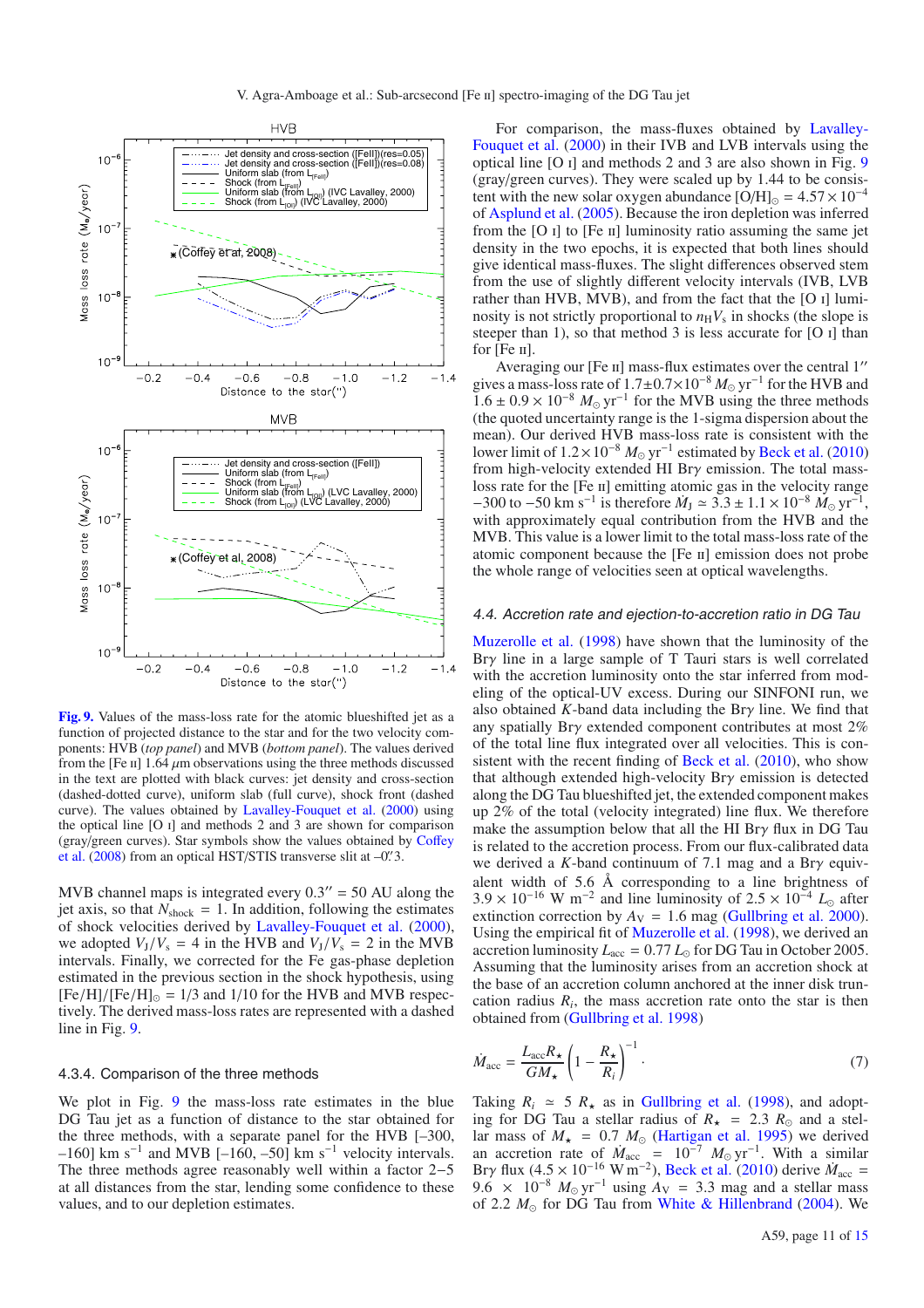

**[Fig. 9.](http://dexter.edpsciences.org/applet.php?DOI=10.1051/0004-6361/201015886&pdf_id=9)** Values of the mass-loss rate for the atomic blueshifted jet as a function of projected distance to the star and for the two velocity components: HVB (*top panel*) and MVB (*bottom panel*). The values derived from the [Fe  $\pi$ ] 1.64  $\mu$ m observations using the three methods discussed in the text are plotted with black curves: jet density and cross-section (dashed-dotted curve), uniform slab (full curve), shock front (dashed curve). The values obtained by Lavalley-Fouquet et al. (2000) using the optical line [O i] and methods 2 and 3 are shown for comparison (gray/green curves). Star symbols show the values obtained by Coffey et al. (2008) from an optical HST/STIS transverse slit at  $-0$ . 3.

MVB channel maps is integrated every  $0.3'' = 50$  AU along the jet axis, so that  $N_{\text{shock}} = 1$ . In addition, following the estimates of shock velocities derived by Lavalley-Fouquet et al. (2000), we adopted  $V_J/V_s = 4$  in the HVB and  $V_J/V_s = 2$  in the MVB intervals. Finally, we corrected for the Fe gas-phase depletion estimated in the previous section in the shock hypothesis, using  $[Fe/H]/[Fe/H]_{\odot} = 1/3$  and 1/10 for the HVB and MVB respectively. The derived mass-loss rates are represented with a dashed line in Fig. 9.

#### 4.3.4. Comparison of the three methods

We plot in Fig. 9 the mass-loss rate estimates in the blue DG Tau jet as a function of distance to the star obtained for the three methods, with a separate panel for the HVB [–300, –160] km s<sup>-1</sup> and MVB [–160, –50] km s<sup>-1</sup> velocity intervals. The three methods agree reasonably well within a factor 2−5 at all distances from the star, lending some confidence to these values, and to our depletion estimates.

For comparison, the mass-fluxes obtained by Lavalley-Fouquet et al. (2000) in their IVB and LVB intervals using the optical line [O i] and methods 2 and 3 are also shown in Fig. 9 (gray/green curves). They were scaled up by 1.44 to be consistent with the new solar oxygen abundance [O/H] $_{\odot} = 4.57 \times 10^{-4}$ of Asplund et al. (2005). Because the iron depletion was inferred from the  $[O I]$  to  $[Fe II]$  luminosity ratio assuming the same jet density in the two epochs, it is expected that both lines should give identical mass-fluxes. The slight differences observed stem from the use of slightly different velocity intervals (IVB, LVB rather than HVB, MVB), and from the fact that the [O i] luminosity is not strictly proportional to  $n_HV_s$  in shocks (the slope is steeper than 1), so that method 3 is less accurate for  $[O \, I]$  than for  $[Fe II]$ .

Averaging our [Fe II] mass-flux estimates over the central 1" gives a mass-loss rate of 1.7±0.7×10<sup>-8</sup>  $M_{\odot}$  yr<sup>-1</sup> for the HVB and  $1.6 \pm 0.9 \times 10^{-8}$   $M_{\odot}$  yr<sup>-1</sup> for the MVB using the three methods (the quoted uncertainty range is the 1-sigma dispersion about the mean). Our derived HVB mass-loss rate is consistent with the lower limit of  $1.2 \times 10^{-8} M_{\odot}$  yr<sup>-1</sup> estimated by Beck et al. (2010) from high-velocity extended HI Brγ emission. The total massloss rate for the [Fe II] emitting atomic gas in the velocity range  $-300$  to  $-50$  km s<sup>-1</sup> is therefore  $\dot{M}_{\rm J} \simeq 3.3 \pm 1.1 \times 10^{-8}$   $\dot{M}_{\odot}$  yr<sup>-1</sup>, with approximately equal contribution from the HVB and the MVB. This value is a lower limit to the total mass-loss rate of the atomic component because the [Fe ii] emission does not probe the whole range of velocities seen at optical wavelengths.

#### 4.4. Accretion rate and ejection-to-accretion ratio in DG Tau

Muzerolle et al. (1998) have shown that the luminosity of the Brγ line in a large sample of T Tauri stars is well correlated with the accretion luminosity onto the star inferred from modeling of the optical-UV excess. During our SINFONI run, we also obtained *K*-band data including the Brγ line. We find that any spatially Brγ extended component contributes at most 2% of the total line flux integrated over all velocities. This is consistent with the recent finding of Beck et al. (2010), who show that although extended high-velocity Brγ emission is detected along the DG Tau blueshifted jet, the extended component makes up 2% of the total (velocity integrated) line flux. We therefore make the assumption below that all the HI Br $\gamma$  flux in DG Tau is related to the accretion process. From our flux-calibrated data we derived a *K*-band continuum of 7.1 mag and a Brγ equivalent width of 5.6 Å corresponding to a line brightness of  $3.9 \times 10^{-16}$  W m<sup>-2</sup> and line luminosity of  $2.5 \times 10^{-4}$  L<sub>o</sub> after extinction correction by  $A_V = 1.6$  mag (Gullbring et al. 2000). Using the empirical fit of Muzerolle et al. (1998), we derived an accretion luminosity  $L_{\text{acc}} = 0.77 L_{\odot}$  for DG Tau in October 2005. Assuming that the luminosity arises from an accretion shock at the base of an accretion column anchored at the inner disk truncation radius  $R_i$ , the mass accretion rate onto the star is then obtained from (Gullbring et al. 1998)

$$
\dot{M}_{\text{acc}} = \frac{L_{\text{acc}} R_{\star}}{GM_{\star}} \left(1 - \frac{R_{\star}}{R_i}\right)^{-1} \tag{7}
$$

Taking  $R_i \approx 5 R_{\star}$  as in Gullbring et al. (1998), and adopting for DG Tau a stellar radius of  $R_{\star}$  = 2.3  $R_{\odot}$  and a stellar mass of  $M_{\star}$  = 0.7  $M_{\odot}$  (Hartigan et al. 1995) we derived an accretion rate of  $\dot{M}_{\text{acc}} = 10^{-7} M_{\odot} \text{ yr}^{-1}$ . With a similar Bry flux (4.5 × 10<sup>-16</sup> W m<sup>-2</sup>), Beck et al. (2010) derive  $\dot{M}_{\text{acc}} =$ 9.6 × 10<sup>-8</sup>  $M_{\odot}$  yr<sup>-1</sup> using  $A_V$  = 3.3 mag and a stellar mass of 2.2  $M_{\odot}$  for DG Tau from White & Hillenbrand (2004). We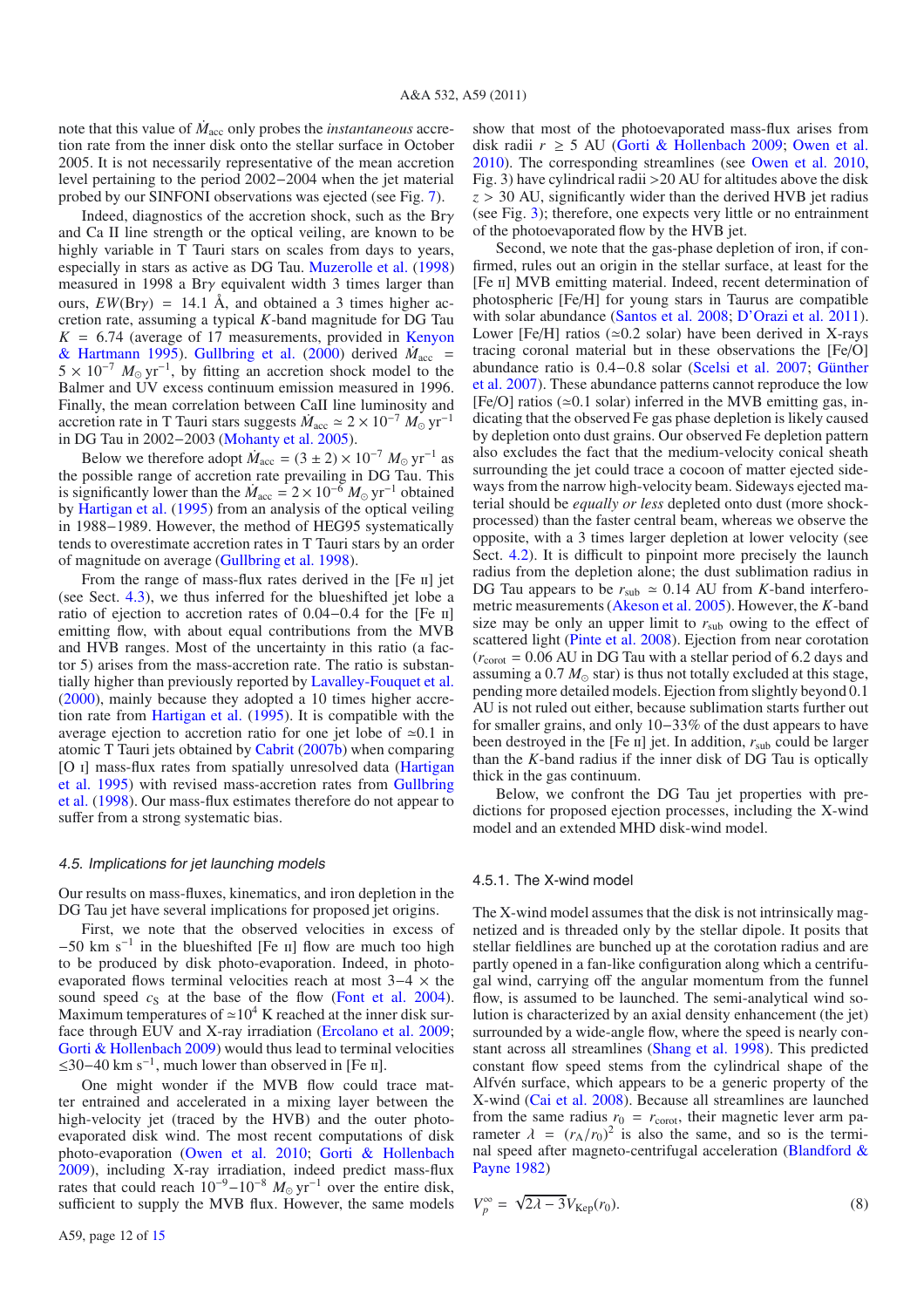note that this value of  $\dot{M}_{\text{acc}}$  only probes the *instantaneous* accretion rate from the inner disk onto the stellar surface in October 2005. It is not necessarily representative of the mean accretion level pertaining to the period 2002−2004 when the jet material probed by our SINFONI observations was ejected (see Fig. 7).

Indeed, diagnostics of the accretion shock, such as the Brγ and Ca II line strength or the optical veiling, are known to be highly variable in T Tauri stars on scales from days to years, especially in stars as active as DG Tau. Muzerolle et al. (1998) measured in 1998 a Brγ equivalent width 3 times larger than ours,  $EW(Bry) = 14.1 \text{ Å}$ , and obtained a 3 times higher accretion rate, assuming a typical *K*-band magnitude for DG Tau  $K = 6.74$  (average of 17 measurements, provided in Kenyon & Hartmann 1995). Gullbring et al. (2000) derived  $\dot{M}_{\text{acc}}$  =  $5 \times 10^{-7}$   $M_{\odot}$  yr<sup>-1</sup>, by fitting an accretion shock model to the Balmer and UV excess continuum emission measured in 1996. Finally, the mean correlation between CaII line luminosity and accretion rate in T Tauri stars suggests  $\dot{M}_{\text{acc}} \simeq 2 \times 10^{-7} M_{\odot} \text{ yr}^{-1}$ in DG Tau in 2002−2003 (Mohanty et al. 2005).

Below we therefore adopt  $\dot{M}_{\text{acc}} = (3 \pm 2) \times 10^{-7} M_{\odot} \text{ yr}^{-1}$  as the possible range of accretion rate prevailing in DG Tau. This is significantly lower than the  $\dot{M}_{\text{acc}} = 2 \times 10^{-6} M_{\odot} \text{ yr}^{-1}$  obtained by Hartigan et al. (1995) from an analysis of the optical veiling in 1988−1989. However, the method of HEG95 systematically tends to overestimate accretion rates in T Tauri stars by an order of magnitude on average (Gullbring et al. 1998).

From the range of mass-flux rates derived in the [Fe II] jet (see Sect. 4.3), we thus inferred for the blueshifted jet lobe a ratio of ejection to accretion rates of 0.04−0.4 for the [Fe ii] emitting flow, with about equal contributions from the MVB and HVB ranges. Most of the uncertainty in this ratio (a factor 5) arises from the mass-accretion rate. The ratio is substantially higher than previously reported by Lavalley-Fouquet et al. (2000), mainly because they adopted a 10 times higher accretion rate from Hartigan et al. (1995). It is compatible with the average ejection to accretion ratio for one jet lobe of  $\approx 0.1$  in atomic T Tauri jets obtained by Cabrit (2007b) when comparing [O i] mass-flux rates from spatially unresolved data (Hartigan et al. 1995) with revised mass-accretion rates from Gullbring et al. (1998). Our mass-flux estimates therefore do not appear to suffer from a strong systematic bias.

#### 4.5. Implications for jet launching models

Our results on mass-fluxes, kinematics, and iron depletion in the DG Tau jet have several implications for proposed jet origins.

First, we note that the observed velocities in excess of  $-50$  km s<sup>-1</sup> in the blueshifted [Fe II] flow are much too high to be produced by disk photo-evaporation. Indeed, in photoevaporated flows terminal velocities reach at most 3−4 × the sound speed  $c_S$  at the base of the flow (Font et al. 2004). Maximum temperatures of  $\simeq 10^4$  K reached at the inner disk surface through EUV and X-ray irradiation (Ercolano et al. 2009; Gorti & Hollenbach 2009) would thus lead to terminal velocities  $\leq$ 30−40 km s<sup>-1</sup>, much lower than observed in [Fe ii].

One might wonder if the MVB flow could trace matter entrained and accelerated in a mixing layer between the high-velocity jet (traced by the HVB) and the outer photoevaporated disk wind. The most recent computations of disk photo-evaporation (Owen et al. 2010; Gorti & Hollenbach 2009), including X-ray irradiation, indeed predict mass-flux rates that could reach  $10^{-9} - 10^{-8}$   $M_{\odot}$  yr<sup>-1</sup> over the entire disk, sufficient to supply the MVB flux. However, the same models show that most of the photoevaporated mass-flux arises from disk radii  $r \geq 5$  AU (Gorti & Hollenbach 2009; Owen et al. 2010). The corresponding streamlines (see Owen et al. 2010, Fig. 3) have cylindrical radii >20 AU for altitudes above the disk  $z > 30$  AU, significantly wider than the derived HVB jet radius (see Fig. 3); therefore, one expects very little or no entrainment of the photoevaporated flow by the HVB jet.

Second, we note that the gas-phase depletion of iron, if confirmed, rules out an origin in the stellar surface, at least for the [Fe ii] MVB emitting material. Indeed, recent determination of photospheric [Fe/H] for young stars in Taurus are compatible with solar abundance (Santos et al. 2008; D'Orazi et al. 2011). Lower [Fe/H] ratios ( $\simeq$  0.2 solar) have been derived in X-rays tracing coronal material but in these observations the [Fe/O] abundance ratio is 0.4−0.8 solar (Scelsi et al. 2007; Günther et al. 2007). These abundance patterns cannot reproduce the low [Fe/O] ratios ( $\simeq$ 0.1 solar) inferred in the MVB emitting gas, indicating that the observed Fe gas phase depletion is likely caused by depletion onto dust grains. Our observed Fe depletion pattern also excludes the fact that the medium-velocity conical sheath surrounding the jet could trace a cocoon of matter ejected sideways from the narrow high-velocity beam. Sideways ejected material should be *equally or less* depleted onto dust (more shockprocessed) than the faster central beam, whereas we observe the opposite, with a 3 times larger depletion at lower velocity (see Sect. 4.2). It is difficult to pinpoint more precisely the launch radius from the depletion alone; the dust sublimation radius in DG Tau appears to be  $r_{sub} \approx 0.14$  AU from *K*-band interferometric measurements (Akeson et al. 2005). However, the *K*-band size may be only an upper limit to  $r_{sub}$  owing to the effect of scattered light (Pinte et al. 2008). Ejection from near corotation  $(r_{\text{corot}} = 0.06 \text{ AU}$  in DG Tau with a stellar period of 6.2 days and assuming a 0.7  $M_{\odot}$  star) is thus not totally excluded at this stage, pending more detailed models. Ejection from slightly beyond 0.1 AU is not ruled out either, because sublimation starts further out for smaller grains, and only 10−33% of the dust appears to have been destroyed in the  $[Fe \text{ } \text{H}]$  jet. In addition,  $r_{\text{sub}}$  could be larger than the *K*-band radius if the inner disk of DG Tau is optically thick in the gas continuum.

Below, we confront the DG Tau jet properties with predictions for proposed ejection processes, including the X-wind model and an extended MHD disk-wind model.

#### 4.5.1. The X-wind model

The X-wind model assumes that the disk is not intrinsically magnetized and is threaded only by the stellar dipole. It posits that stellar fieldlines are bunched up at the corotation radius and are partly opened in a fan-like configuration along which a centrifugal wind, carrying off the angular momentum from the funnel flow, is assumed to be launched. The semi-analytical wind solution is characterized by an axial density enhancement (the jet) surrounded by a wide-angle flow, where the speed is nearly constant across all streamlines (Shang et al. 1998). This predicted constant flow speed stems from the cylindrical shape of the Alfvén surface, which appears to be a generic property of the X-wind (Cai et al. 2008). Because all streamlines are launched from the same radius  $r_0 = r_{\text{corot}}$ , their magnetic lever arm parameter  $\lambda = (r_A/r_0)^2$  is also the same, and so is the terminal speed after magneto-centrifugal acceleration (Blandford & Payne 1982)

$$
V_p^{\infty} = \sqrt{2\lambda - 3} V_{\text{Kep}}(r_0). \tag{8}
$$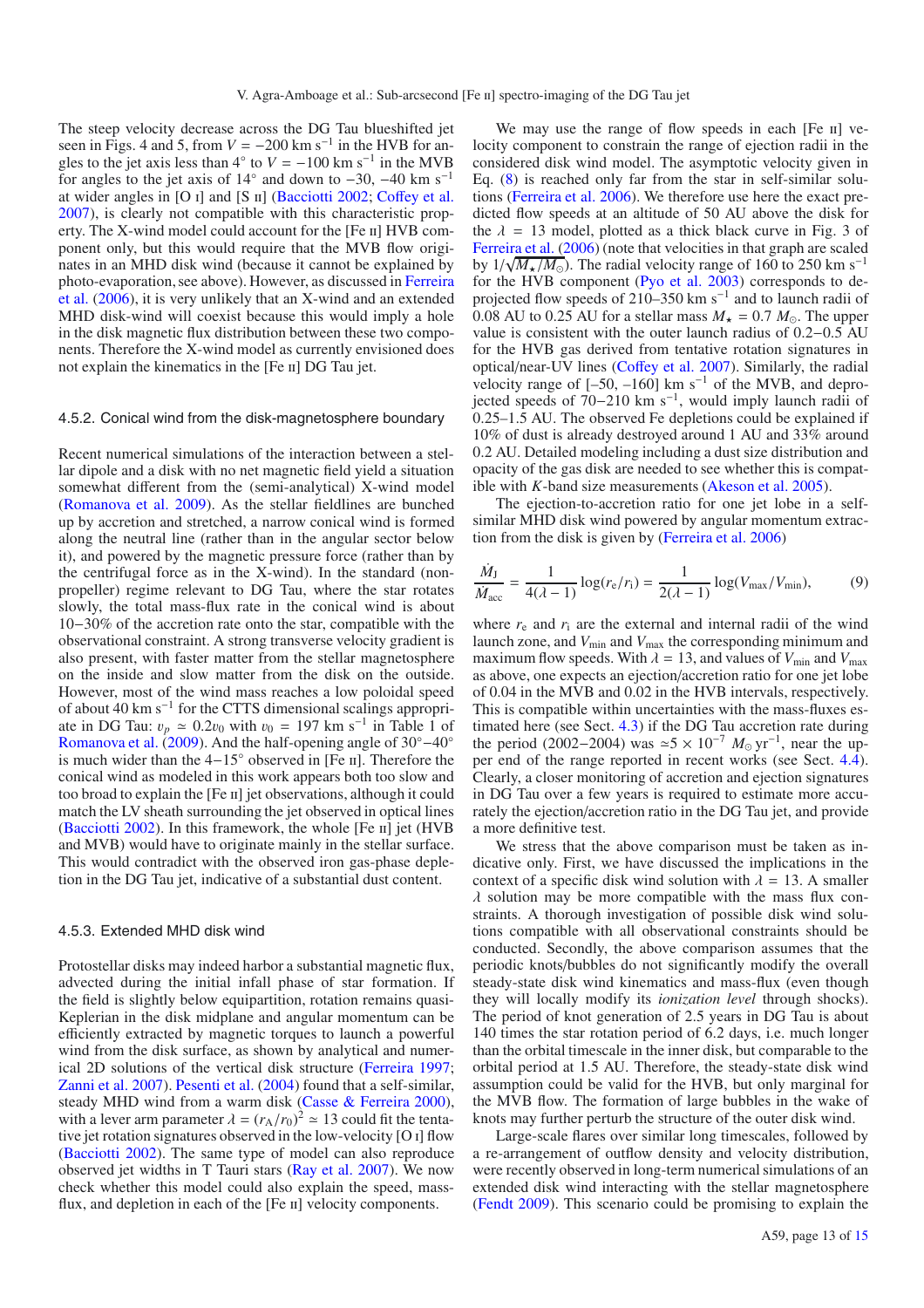The steep velocity decrease across the DG Tau blueshifted jet seen in Figs. 4 and 5, from  $V = -200$  km s<sup>-1</sup> in the HVB for angles to the jet axis less than  $4°$  to  $V = -100$  km s<sup>-1</sup> in the MVB for angles to the jet axis of  $14°$  and down to  $-30$ ,  $-40$  km s<sup>-1</sup> at wider angles in [O i] and [S ii] (Bacciotti 2002; Coffey et al. 2007), is clearly not compatible with this characteristic property. The X-wind model could account for the [Fe ii] HVB component only, but this would require that the MVB flow originates in an MHD disk wind (because it cannot be explained by photo-evaporation, see above). However, as discussed in Ferreira et al. (2006), it is very unlikely that an X-wind and an extended MHD disk-wind will coexist because this would imply a hole in the disk magnetic flux distribution between these two components. Therefore the X-wind model as currently envisioned does not explain the kinematics in the [Fe ii] DG Tau jet.

#### 4.5.2. Conical wind from the disk-magnetosphere boundary

Recent numerical simulations of the interaction between a stellar dipole and a disk with no net magnetic field yield a situation somewhat different from the (semi-analytical) X-wind model (Romanova et al. 2009). As the stellar fieldlines are bunched up by accretion and stretched, a narrow conical wind is formed along the neutral line (rather than in the angular sector below it), and powered by the magnetic pressure force (rather than by the centrifugal force as in the X-wind). In the standard (nonpropeller) regime relevant to DG Tau, where the star rotates slowly, the total mass-flux rate in the conical wind is about 10−30% of the accretion rate onto the star, compatible with the observational constraint. A strong transverse velocity gradient is also present, with faster matter from the stellar magnetosphere on the inside and slow matter from the disk on the outside. However, most of the wind mass reaches a low poloidal speed of about 40 km s<sup> $-1$ </sup> for the CTTS dimensional scalings appropriate in DG Tau:  $v_p \approx 0.2v_0$  with  $v_0 = 197$  km s<sup>-1</sup> in Table 1 of Romanova et al. (2009). And the half-opening angle of 30◦−40◦ is much wider than the 4−15◦ observed in [Fe ii]. Therefore the conical wind as modeled in this work appears both too slow and too broad to explain the [Fe II] jet observations, although it could match the LV sheath surrounding the jet observed in optical lines (Bacciotti 2002). In this framework, the whole  $[Fe \text{ II}]$  jet  $(HVB)$ and MVB) would have to originate mainly in the stellar surface. This would contradict with the observed iron gas-phase depletion in the DG Tau jet, indicative of a substantial dust content.

#### 4.5.3. Extended MHD disk wind

Protostellar disks may indeed harbor a substantial magnetic flux, advected during the initial infall phase of star formation. If the field is slightly below equipartition, rotation remains quasi-Keplerian in the disk midplane and angular momentum can be efficiently extracted by magnetic torques to launch a powerful wind from the disk surface, as shown by analytical and numerical 2D solutions of the vertical disk structure (Ferreira 1997; Zanni et al. 2007). Pesenti et al. (2004) found that a self-similar, steady MHD wind from a warm disk (Casse & Ferreira 2000), with a lever arm parameter  $\lambda = (r_A/r_0)^2 \approx 13$  could fit the tentative jet rotation signatures observed in the low-velocity [O i] flow (Bacciotti 2002). The same type of model can also reproduce observed jet widths in T Tauri stars (Ray et al. 2007). We now check whether this model could also explain the speed, massflux, and depletion in each of the [Fe II] velocity components.

We may use the range of flow speeds in each [Fe II] velocity component to constrain the range of ejection radii in the considered disk wind model. The asymptotic velocity given in Eq. (8) is reached only far from the star in self-similar solutions (Ferreira et al. 2006). We therefore use here the exact predicted flow speeds at an altitude of 50 AU above the disk for the  $\lambda = 13$  model, plotted as a thick black curve in Fig. 3 of Ferreira et al. (2006) (note that velocities in that graph are scaled by  $1/\sqrt{M_{\star}/M_{\odot}}$ ). The radial velocity range of 160 to 250 km s<sup>−1</sup> for the HVB component (Pyo et al. 2003) corresponds to deprojected flow speeds of 210–350 km s−<sup>1</sup> and to launch radii of 0.08 AU to 0.25 AU for a stellar mass  $M_* = 0.7 M_{\odot}$ . The upper value is consistent with the outer launch radius of 0.2−0.5 AU for the HVB gas derived from tentative rotation signatures in optical/near-UV lines (Coffey et al. 2007). Similarly, the radial velocity range of  $[-50, -160]$  km s<sup>-1</sup> of the MVB, and deprovelocity range or  $1-50$ ,  $-100$  km s<sup>−1</sup>, would imply launch radii of jected speeds of 70–210 km s<sup>−1</sup>, would imply launch radii of 0.25–1.5 AU. The observed Fe depletions could be explained if 10% of dust is already destroyed around 1 AU and 33% around 0.2 AU. Detailed modeling including a dust size distribution and opacity of the gas disk are needed to see whether this is compatible with *K*-band size measurements (Akeson et al. 2005).

The ejection-to-accretion ratio for one jet lobe in a selfsimilar MHD disk wind powered by angular momentum extraction from the disk is given by (Ferreira et al. 2006)

$$
\frac{\dot{M}_{\rm J}}{\dot{M}_{\rm acc}} = \frac{1}{4(\lambda - 1)} \log(r_{\rm e}/r_{\rm i}) = \frac{1}{2(\lambda - 1)} \log(V_{\rm max}/V_{\rm min}),\tag{9}
$$

where  $r_e$  and  $r_i$  are the external and internal radii of the wind launch zone, and  $V_{\text{min}}$  and  $V_{\text{max}}$  the corresponding minimum and maximum flow speeds. With  $\lambda = 13$ , and values of  $V_{\text{min}}$  and  $V_{\text{max}}$ as above, one expects an ejection/accretion ratio for one jet lobe of 0.04 in the MVB and 0.02 in the HVB intervals, respectively. This is compatible within uncertainties with the mass-fluxes estimated here (see Sect. 4.3) if the DG Tau accretion rate during the period (2002–2004) was  $\approx$  5 × 10<sup>-7</sup>  $M_{\odot}$  yr<sup>-1</sup>, near the upper end of the range reported in recent works (see Sect. 4.4). Clearly, a closer monitoring of accretion and ejection signatures in DG Tau over a few years is required to estimate more accurately the ejection/accretion ratio in the DG Tau jet, and provide a more definitive test.

We stress that the above comparison must be taken as indicative only. First, we have discussed the implications in the context of a specific disk wind solution with  $\lambda = 13$ . A smaller  $\lambda$  solution may be more compatible with the mass flux constraints. A thorough investigation of possible disk wind solutions compatible with all observational constraints should be conducted. Secondly, the above comparison assumes that the periodic knots/bubbles do not significantly modify the overall steady-state disk wind kinematics and mass-flux (even though they will locally modify its *ionization level* through shocks). The period of knot generation of 2.5 years in DG Tau is about 140 times the star rotation period of 6.2 days, i.e. much longer than the orbital timescale in the inner disk, but comparable to the orbital period at 1.5 AU. Therefore, the steady-state disk wind assumption could be valid for the HVB, but only marginal for the MVB flow. The formation of large bubbles in the wake of knots may further perturb the structure of the outer disk wind.

Large-scale flares over similar long timescales, followed by a re-arrangement of outflow density and velocity distribution, were recently observed in long-term numerical simulations of an extended disk wind interacting with the stellar magnetosphere (Fendt 2009). This scenario could be promising to explain the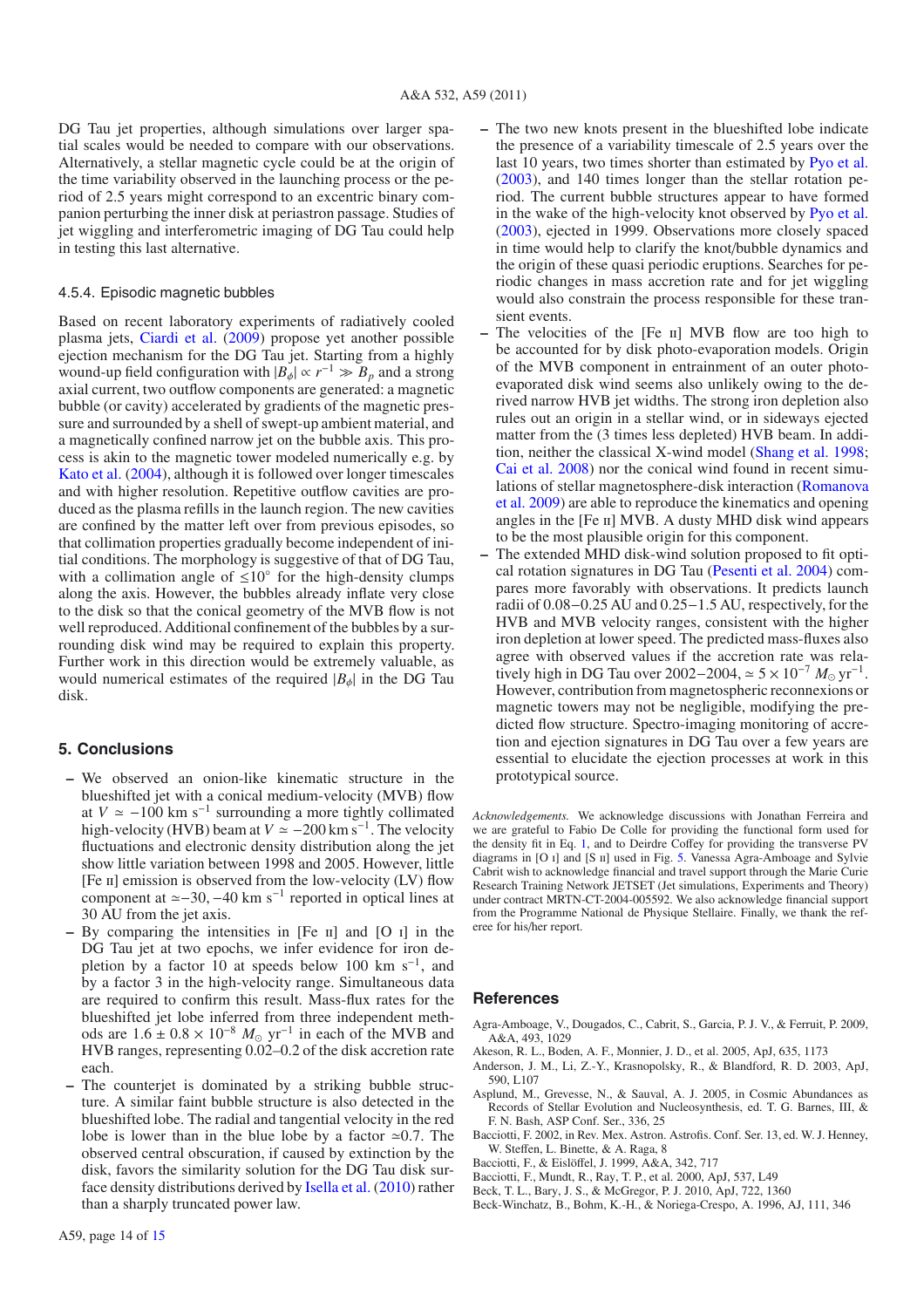DG Tau jet properties, although simulations over larger spatial scales would be needed to compare with our observations. Alternatively, a stellar magnetic cycle could be at the origin of the time variability observed in the launching process or the period of 2.5 years might correspond to an excentric binary companion perturbing the inner disk at periastron passage. Studies of jet wiggling and interferometric imaging of DG Tau could help in testing this last alternative.

#### 4.5.4. Episodic magnetic bubbles

Based on recent laboratory experiments of radiatively cooled plasma jets, Ciardi et al. (2009) propose yet another possible ejection mechanism for the DG Tau jet. Starting from a highly wound-up field configuration with  $|B_{\phi}| \propto r^{-1} \gg B_p$  and a strong axial current, two outflow components are generated: a magnetic bubble (or cavity) accelerated by gradients of the magnetic pressure and surrounded by a shell of swept-up ambient material, and a magnetically confined narrow jet on the bubble axis. This process is akin to the magnetic tower modeled numerically e.g. by Kato et al. (2004), although it is followed over longer timescales and with higher resolution. Repetitive outflow cavities are produced as the plasma refills in the launch region. The new cavities are confined by the matter left over from previous episodes, so that collimation properties gradually become independent of initial conditions. The morphology is suggestive of that of DG Tau, with a collimation angle of  $\leq 10^\circ$  for the high-density clumps along the axis. However, the bubbles already inflate very close to the disk so that the conical geometry of the MVB flow is not well reproduced. Additional confinement of the bubbles by a surrounding disk wind may be required to explain this property. Further work in this direction would be extremely valuable, as would numerical estimates of the required  $|B_{\phi}|$  in the DG Tau disk.

#### **5. Conclusions**

- **–** We observed an onion-like kinematic structure in the blueshifted jet with a conical medium-velocity (MVB) flow at  $V \approx -100$  km s<sup>-1</sup> surrounding a more tightly collimated high-velocity (HVB) beam at  $V \approx -200$  km s<sup>-1</sup>. The velocity fluctuations and electronic density distribution along the jet show little variation between 1998 and 2005. However, little [Fe  $\pi$ ] emission is observed from the low-velocity (LV) flow component at  $\simeq$ -30, -40 km s<sup>-1</sup> reported in optical lines at 30 AU from the jet axis.
- By comparing the intensities in [Fe II] and [O I] in the DG Tau jet at two epochs, we infer evidence for iron depletion by a factor 10 at speeds below 100 km s<sup>-1</sup>, and by a factor 3 in the high-velocity range. Simultaneous data are required to confirm this result. Mass-flux rates for the blueshifted jet lobe inferred from three independent methods are  $1.6 \pm 0.8 \times 10^{-8}$  *M*<sub>o</sub> yr<sup>-1</sup> in each of the MVB and HVB ranges, representing 0.02–0.2 of the disk accretion rate each.
- **–** The counterjet is dominated by a striking bubble structure. A similar faint bubble structure is also detected in the blueshifted lobe. The radial and tangential velocity in the red lobe is lower than in the blue lobe by a factor  $\approx 0.7$ . The observed central obscuration, if caused by extinction by the disk, favors the similarity solution for the DG Tau disk surface density distributions derived by Isella et al. (2010) rather than a sharply truncated power law.
- **–** The two new knots present in the blueshifted lobe indicate the presence of a variability timescale of 2.5 years over the last 10 years, two times shorter than estimated by Pyo et al. (2003), and 140 times longer than the stellar rotation period. The current bubble structures appear to have formed in the wake of the high-velocity knot observed by Pyo et al. (2003), ejected in 1999. Observations more closely spaced in time would help to clarify the knot/bubble dynamics and the origin of these quasi periodic eruptions. Searches for periodic changes in mass accretion rate and for jet wiggling would also constrain the process responsible for these transient events.
- **–** The velocities of the [Fe ii] MVB flow are too high to be accounted for by disk photo-evaporation models. Origin of the MVB component in entrainment of an outer photoevaporated disk wind seems also unlikely owing to the derived narrow HVB jet widths. The strong iron depletion also rules out an origin in a stellar wind, or in sideways ejected matter from the (3 times less depleted) HVB beam. In addition, neither the classical X-wind model (Shang et al. 1998; Cai et al. 2008) nor the conical wind found in recent simulations of stellar magnetosphere-disk interaction (Romanova et al. 2009) are able to reproduce the kinematics and opening angles in the [Fe ii] MVB. A dusty MHD disk wind appears to be the most plausible origin for this component.
- **–** The extended MHD disk-wind solution proposed to fit optical rotation signatures in DG Tau (Pesenti et al. 2004) compares more favorably with observations. It predicts launch radii of 0.08−0.25 AU and 0.25−1.5 AU, respectively, for the HVB and MVB velocity ranges, consistent with the higher iron depletion at lower speed. The predicted mass-fluxes also agree with observed values if the accretion rate was relatively high in DG Tau over 2002–2004,  $\simeq$  5 × 10<sup>-7</sup>  $M_{\odot}$  yr<sup>-1</sup>. However, contribution from magnetospheric reconnexions or magnetic towers may not be negligible, modifying the predicted flow structure. Spectro-imaging monitoring of accretion and ejection signatures in DG Tau over a few years are essential to elucidate the ejection processes at work in this prototypical source.

*Acknowledgements.* We acknowledge discussions with Jonathan Ferreira and we are grateful to Fabio De Colle for providing the functional form used for the density fit in Eq. 1, and to Deirdre Coffey for providing the transverse PV diagrams in [O I] and [S II] used in Fig. 5. Vanessa Agra-Amboage and Sylvie Cabrit wish to acknowledge financial and travel support through the Marie Curie Research Training Network JETSET (Jet simulations, Experiments and Theory) under contract MRTN-CT-2004-005592. We also acknowledge financial support from the Programme National de Physique Stellaire. Finally, we thank the referee for his/her report.

#### **References**

- Agra-Amboage, V., Dougados, C., Cabrit, S., Garcia, P. J. V., & Ferruit, P. 2009, A&A, 493, 1029
- Akeson, R. L., Boden, A. F., Monnier, J. D., et al. 2005, ApJ, 635, 1173
- Anderson, J. M., Li, Z.-Y., Krasnopolsky, R., & Blandford, R. D. 2003, ApJ, 590, L107
- Asplund, M., Grevesse, N., & Sauval, A. J. 2005, in Cosmic Abundances as Records of Stellar Evolution and Nucleosynthesis, ed. T. G. Barnes, III, & F. N. Bash, ASP Conf. Ser., 336, 25
- Bacciotti, F. 2002, in Rev. Mex. Astron. Astrofis. Conf. Ser. 13, ed. W. J. Henney, W. Steffen, L. Binette, & A. Raga, 8
- Bacciotti, F., & Eislöffel, J. 1999, A&A, 342, 717
- Bacciotti, F., Mundt, R., Ray, T. P., et al. 2000, ApJ, 537, L49
- Beck, T. L., Bary, J. S., & McGregor, P. J. 2010, ApJ, 722, 1360
- Beck-Winchatz, B., Bohm, K.-H., & Noriega-Crespo, A. 1996, AJ, 111, 346